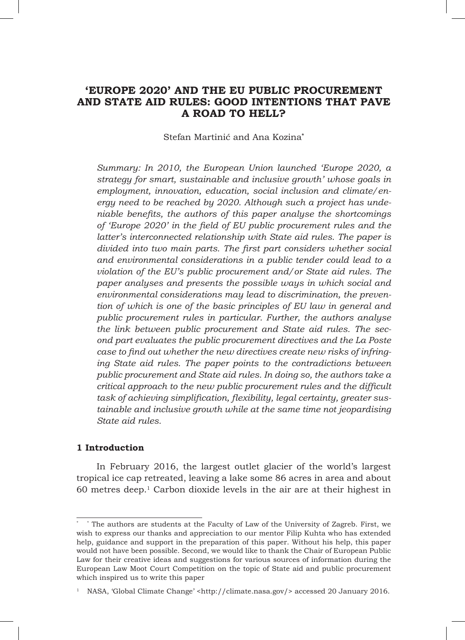# **'EUROPE 2020' AND THE EU PUBLIC PROCUREMENT AND STATE AID RULES: GOOD INTENTIONS THAT PAVE A ROAD TO HELL?**

## Stefan Martinić and Ana Kozina**\***

*Summary: In 2010, the European Union launched 'Europe 2020, a strategy for smart, sustainable and inclusive growth' whose goals in employment, innovation, education, social inclusion and climate/energy need to be reached by 2020. Although such a project has undeniable benefits, the authors of this paper analyse the shortcomings of 'Europe 2020' in the field of EU public procurement rules and the latter's interconnected relationship with State aid rules. The paper is divided into two main parts. The first part considers whether social and environmental considerations in a public tender could lead to a violation of the EU's public procurement and/or State aid rules. The paper analyses and presents the possible ways in which social and environmental considerations may lead to discrimination, the prevention of which is one of the basic principles of EU law in general and public procurement rules in particular. Further, the authors analyse the link between public procurement and State aid rules. The second part evaluates the public procurement directives and the La Poste case to find out whether the new directives create new risks of infringing State aid rules. The paper points to the contradictions between public procurement and State aid rules. In doing so, the authors take a critical approach to the new public procurement rules and the difficult task of achieving simplification, flexibility, legal certainty, greater sustainable and inclusive growth while at the same time not jeopardising State aid rules.*

## **1 Introduction**

In February 2016, the largest outlet glacier of the world's largest tropical ice cap retreated, leaving a lake some 86 acres in area and about  $60$  metres deep.<sup>1</sup> Carbon dioxide levels in the air are at their highest in

<sup>\*</sup> \* The authors are students at the Faculty of Law of the University of Zagreb. First, we wish to express our thanks and appreciation to our mentor Filip Kuhta who has extended help, guidance and support in the preparation of this paper. Without his help, this paper would not have been possible. Second, we would like to thank the Chair of European Public Law for their creative ideas and suggestions for various sources of information during the European Law Moot Court Competition on the topic of State aid and public procurement which inspired us to write this paper

<sup>1</sup> NASA, 'Global Climate Change' <http://climate.nasa.gov/> accessed 20 January 2016.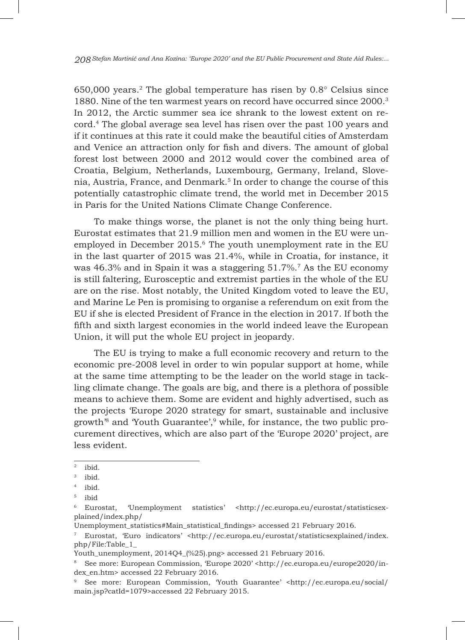$650,000$  years.<sup>2</sup> The global temperature has risen by  $0.8^\circ$  Celsius since 1880. Nine of the ten warmest years on record have occurred since 2000.3 In 2012, the Arctic summer sea ice shrank to the lowest extent on record.4 The global average sea level has risen over the past 100 years and if it continues at this rate it could make the beautiful cities of Amsterdam and Venice an attraction only for fish and divers. The amount of global forest lost between 2000 and 2012 would cover the combined area of Croatia, Belgium, Netherlands, Luxembourg, Germany, Ireland, Slovenia, Austria, France, and Denmark.5 In order to change the course of this potentially catastrophic climate trend, the world met in December 2015 in Paris for the United Nations Climate Change Conference.

To make things worse, the planet is not the only thing being hurt. Eurostat estimates that 21.9 million men and women in the EU were unemployed in December 2015.6 The youth unemployment rate in the EU in the last quarter of 2015 was 21.4%, while in Croatia, for instance, it was 46.3% and in Spain it was a staggering 51.7%.<sup>7</sup> As the EU economy is still faltering, Eurosceptic and extremist parties in the whole of the EU are on the rise. Most notably, the United Kingdom voted to leave the EU, and Marine Le Pen is promising to organise a referendum on exit from the EU if she is elected President of France in the election in 2017. If both the fifth and sixth largest economies in the world indeed leave the European Union, it will put the whole EU project in jeopardy.

The EU is trying to make a full economic recovery and return to the economic pre-2008 level in order to win popular support at home, while at the same time attempting to be the leader on the world stage in tackling climate change. The goals are big, and there is a plethora of possible means to achieve them. Some are evident and highly advertised, such as the projects 'Europe 2020 strategy for smart, sustainable and inclusive growth<sup>8</sup> and Youth Guarantee',<sup>9</sup> while, for instance, the two public procurement directives, which are also part of the 'Europe 2020' project, are less evident.

Unemployment\_statistics#Main\_statistical\_findings> accessed 21 February 2016.

<sup>2</sup> ibid.

<sup>3</sup> ibid.

<sup>4</sup> ibid.

<sup>5</sup> ibid

Eurostat, 'Unemployment statistics' <http://ec.europa.eu/eurostat/statisticsexplained/index.php/

<sup>7</sup> Eurostat, 'Euro indicators' <http://ec.europa.eu/eurostat/statisticsexplained/index. php/File:Table\_1\_

Youth\_unemployment, 2014Q4\_(%25).png> accessed 21 February 2016.

<sup>8</sup> See more: European Commission, 'Europe 2020' <http://ec.europa.eu/europe2020/index\_en.htm> accessed 22 February 2016.

<sup>9</sup> See more: European Commission, 'Youth Guarantee' <http://ec.europa.eu/social/ main.jsp?catId=1079>accessed 22 February 2015.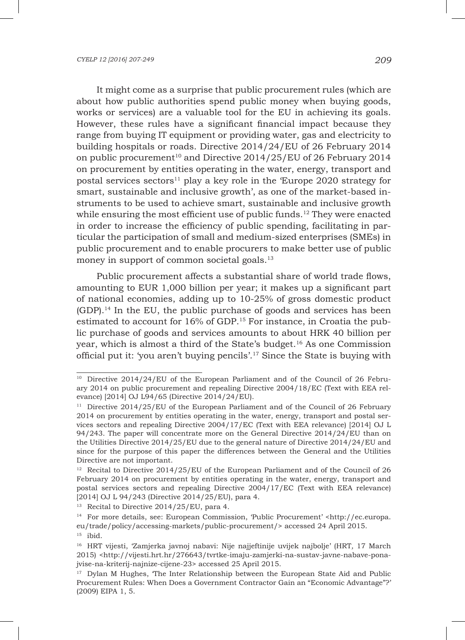It might come as a surprise that public procurement rules (which are about how public authorities spend public money when buying goods, works or services) are a valuable tool for the EU in achieving its goals. However, these rules have a significant financial impact because they range from buying IT equipment or providing water, gas and electricity to building hospitals or roads. Directive 2014/24/EU of 26 February 2014 on public procurement<sup>10</sup> and Directive  $2014/25$ /EU of 26 February 2014 on procurement by entities operating in the water, energy, transport and postal services sectors<sup>11</sup> play a key role in the 'Europe 2020 strategy for smart, sustainable and inclusive growth', as one of the market-based instruments to be used to achieve smart, sustainable and inclusive growth while ensuring the most efficient use of public funds.<sup>12</sup> They were enacted in order to increase the efficiency of public spending, facilitating in particular the participation of small and medium-sized enterprises (SMEs) in public procurement and to enable procurers to make better use of public money in support of common societal goals.<sup>13</sup>

Public procurement affects a substantial share of world trade flows, amounting to EUR 1,000 billion per year; it makes up a significant part of national economies, adding up to 10-25% of gross domestic product (GDP).14 In the EU, the public purchase of goods and services has been estimated to account for 16% of GDP.15 For instance, in Croatia the public purchase of goods and services amounts to about HRK 40 billion per year, which is almost a third of the State's budget.16 As one Commission official put it: 'you aren't buying pencils'.17 Since the State is buying with

<sup>&</sup>lt;sup>10</sup> Directive 2014/24/EU of the European Parliament and of the Council of 26 February 2014 on public procurement and repealing Directive 2004/18/EC (Text with EEA relevance) [2014] OJ L94/65 (Directive 2014/24/EU).

<sup>&</sup>lt;sup>11</sup> Directive 2014/25/EU of the European Parliament and of the Council of 26 February 2014 on procurement by entities operating in the water, energy, transport and postal services sectors and repealing Directive 2004/17/EC (Text with EEA relevance) [2014] OJ L 94/243. The paper will concentrate more on the General Directive 2014/24/EU than on the Utilities Directive 2014/25/EU due to the general nature of Directive 2014/24/EU and since for the purpose of this paper the differences between the General and the Utilities Directive are not important.

<sup>&</sup>lt;sup>12</sup> Recital to Directive  $2014/25/EU$  of the European Parliament and of the Council of 26 February 2014 on procurement by entities operating in the water, energy, transport and postal services sectors and repealing Directive 2004/17/EC (Text with EEA relevance) [2014] OJ L 94/243 (Directive 2014/25/EU), para 4.

<sup>&</sup>lt;sup>13</sup> Recital to Directive  $2014/25$ /EU, para 4.

<sup>&</sup>lt;sup>14</sup> For more details, see: European Commission, 'Public Procurement' <http://ec.europa. eu/trade/policy/accessing-markets/public-procurement/> accessed 24 April 2015.

<sup>15</sup> ibid.

<sup>16</sup> HRT vijesti, 'Zamjerka javnoj nabavi: Nije najjeftinije uvijek najbolje' (HRT*,* 17 March 2015) <http://vijesti.hrt.hr/276643/tvrtke-imaju-zamjerki-na-sustav-javne-nabave-ponajvise-na-kriterij-najnize-cijene-23> accessed 25 April 2015.

 $17$  Dylan M Hughes, The Inter Relationship between the European State Aid and Public Procurement Rules: When Does a Government Contractor Gain an "Economic Advantage"?' (2009) EIPA 1, 5.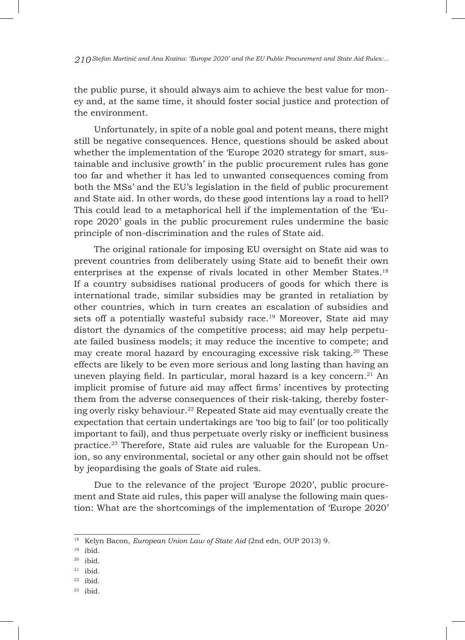the public purse, it should always aim to achieve the best value for money and, at the same time, it should foster social justice and protection of the environment.

Unfortunately, in spite of a noble goal and potent means, there might still be negative consequences. Hence, questions should be asked about whether the implementation of the 'Europe 2020 strategy for smart, sustainable and inclusive growth' in the public procurement rules has gone too far and whether it has led to unwanted consequences coming from both the MSs' and the EU's legislation in the field of public procurement and State aid. In other words, do these good intentions lay a road to hell? This could lead to a metaphorical hell if the implementation of the 'Europe 2020' goals in the public procurement rules undermine the basic principle of non-discrimination and the rules of State aid.

The original rationale for imposing EU oversight on State aid was to prevent countries from deliberately using State aid to benefit their own enterprises at the expense of rivals located in other Member States.18 If a country subsidises national producers of goods for which there is international trade, similar subsidies may be granted in retaliation by other countries, which in turn creates an escalation of subsidies and sets off a potentially wasteful subsidy race.<sup>19</sup> Moreover, State aid may distort the dynamics of the competitive process; aid may help perpetuate failed business models; it may reduce the incentive to compete; and may create moral hazard by encouraging excessive risk taking.20 These effects are likely to be even more serious and long lasting than having an uneven playing field. In particular, moral hazard is a key concern. $21$  An implicit promise of future aid may affect firms' incentives by protecting them from the adverse consequences of their risk-taking, thereby fostering overly risky behaviour.<sup>22</sup> Repeated State aid may eventually create the expectation that certain undertakings are 'too big to fail' (or too politically important to fail), and thus perpetuate overly risky or inefficient business practice.23 Therefore, State aid rules are valuable for the European Union, so any environmental, societal or any other gain should not be offset by jeopardising the goals of State aid rules.

Due to the relevance of the project 'Europe 2020', public procurement and State aid rules, this paper will analyse the following main question: What are the shortcomings of the implementation of 'Europe 2020'

- $^{21}$ ibid.
- $22$  ibid.
- $23$  ibid.

<sup>18</sup> Kelyn Bacon, *European Union Law of State Aid* (2nd edn, OUP 2013) 9.

<sup>19</sup> ibid.

 $20$  ibid.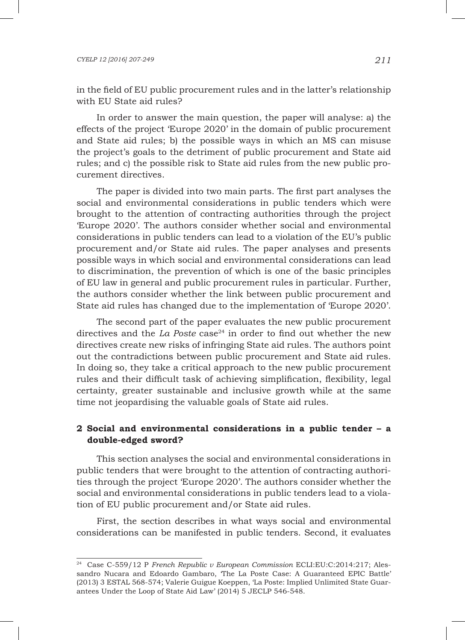in the field of EU public procurement rules and in the latter's relationship with EU State aid rules?

In order to answer the main question, the paper will analyse: a) the effects of the project 'Europe 2020' in the domain of public procurement and State aid rules; b) the possible ways in which an MS can misuse the project's goals to the detriment of public procurement and State aid rules; and c) the possible risk to State aid rules from the new public procurement directives.

The paper is divided into two main parts. The first part analyses the social and environmental considerations in public tenders which were brought to the attention of contracting authorities through the project 'Europe 2020'. The authors consider whether social and environmental considerations in public tenders can lead to a violation of the EU's public procurement and/or State aid rules. The paper analyses and presents possible ways in which social and environmental considerations can lead to discrimination, the prevention of which is one of the basic principles of EU law in general and public procurement rules in particular. Further, the authors consider whether the link between public procurement and State aid rules has changed due to the implementation of 'Europe 2020'.

The second part of the paper evaluates the new public procurement directives and the *La Poste* case<sup>24</sup> in order to find out whether the new directives create new risks of infringing State aid rules. The authors point out the contradictions between public procurement and State aid rules. In doing so, they take a critical approach to the new public procurement rules and their difficult task of achieving simplification, flexibility, legal certainty, greater sustainable and inclusive growth while at the same time not jeopardising the valuable goals of State aid rules.

# **2 Social and environmental considerations in a public tender – a double-edged sword?**

This section analyses the social and environmental considerations in public tenders that were brought to the attention of contracting authorities through the project 'Europe 2020'. The authors consider whether the social and environmental considerations in public tenders lead to a violation of EU public procurement and/or State aid rules.

First, the section describes in what ways social and environmental considerations can be manifested in public tenders. Second, it evaluates

<sup>24</sup> Case C-559/12 P *French Republic v European Commission* ECLI:EU:C:2014:217; Alessandro Nucara and Edoardo Gambaro, 'The La Poste Case: A Guaranteed EPIC Battle' (2013) 3 ESTAL 568-574; Valerie Guigue Koeppen, 'La Poste: Implied Unlimited State Guarantees Under the Loop of State Aid Law' (2014) 5 JECLP 546-548.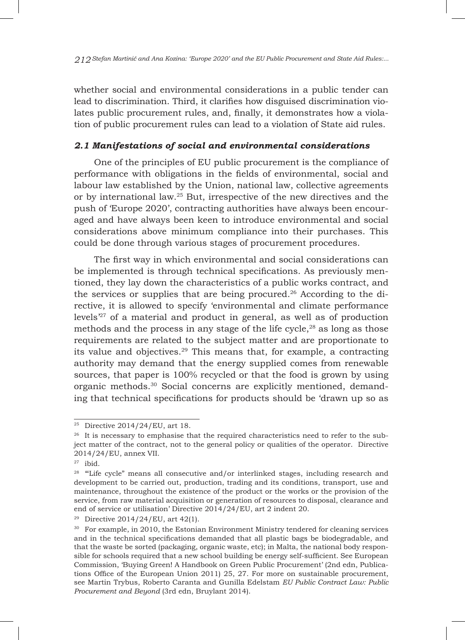whether social and environmental considerations in a public tender can lead to discrimination. Third, it clarifies how disguised discrimination violates public procurement rules, and, finally, it demonstrates how a violation of public procurement rules can lead to a violation of State aid rules.

# *2.1 Manifestations of social and environmental considerations*

One of the principles of EU public procurement is the compliance of performance with obligations in the fields of environmental, social and labour law established by the Union, national law, collective agreements or by international law.25 But, irrespective of the new directives and the push of 'Europe 2020', contracting authorities have always been encouraged and have always been keen to introduce environmental and social considerations above minimum compliance into their purchases. This could be done through various stages of procurement procedures.

The first way in which environmental and social considerations can be implemented is through technical specifications. As previously mentioned, they lay down the characteristics of a public works contract, and the services or supplies that are being procured.26 According to the directive, it is allowed to specify 'environmental and climate performance levels'27 of a material and product in general, as well as of production methods and the process in any stage of the life cycle, $28$  as long as those requirements are related to the subject matter and are proportionate to its value and objectives.29 This means that, for example, a contracting authority may demand that the energy supplied comes from renewable sources, that paper is 100% recycled or that the food is grown by using organic methods.30 Social concerns are explicitly mentioned, demanding that technical specifications for products should be 'drawn up so as

<sup>25</sup> Directive 2014/24/EU, art 18.

<sup>&</sup>lt;sup>26</sup> It is necessary to emphasise that the required characteristics need to refer to the subject matter of the contract, not to the general policy or qualities of the operator. Directive 2014/24/EU, annex VII.

 $27$  ibid.

<sup>&</sup>lt;sup>28</sup> "Life cycle" means all consecutive and/or interlinked stages, including research and development to be carried out, production, trading and its conditions, transport, use and maintenance, throughout the existence of the product or the works or the provision of the service, from raw material acquisition or generation of resources to disposal, clearance and end of service or utilisation' Directive 2014/24/EU, art 2 indent 20.

<sup>&</sup>lt;sup>29</sup> Directive 2014/24/EU, art 42(1).

<sup>30</sup> For example, in 2010, the Estonian Environment Ministry tendered for cleaning services and in the technical specifications demanded that all plastic bags be biodegradable, and that the waste be sorted (packaging, organic waste, etc); in Malta, the national body responsible for schools required that a new school building be energy self-sufficient. See European Commission, 'Buying Green! A Handbook on Green Public Procurement' (2nd edn, Publications Office of the European Union 2011) 25, 27. For more on sustainable procurement, see Martin Trybus, Roberto Caranta and Gunilla Edelstam *EU Public Contract Law: Public Procurement and Beyond* (3rd edn, Bruylant 2014).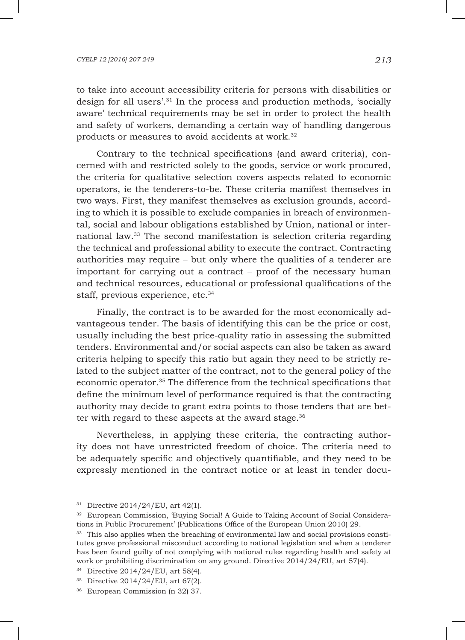### *CYELP 12 [2016] 207-249 213*

to take into account accessibility criteria for persons with disabilities or design for all users'.31 In the process and production methods, 'socially aware' technical requirements may be set in order to protect the health and safety of workers, demanding a certain way of handling dangerous products or measures to avoid accidents at work.<sup>32</sup>

Contrary to the technical specifications (and award criteria), concerned with and restricted solely to the goods, service or work procured, the criteria for qualitative selection covers aspects related to economic operators, ie the tenderers-to-be. These criteria manifest themselves in two ways. First, they manifest themselves as exclusion grounds, according to which it is possible to exclude companies in breach of environmental, social and labour obligations established by Union, national or international law.33 The second manifestation is selection criteria regarding the technical and professional ability to execute the contract. Contracting authorities may require – but only where the qualities of a tenderer are important for carrying out a contract – proof of the necessary human and technical resources, educational or professional qualifications of the staff, previous experience, etc.<sup>34</sup>

Finally, the contract is to be awarded for the most economically advantageous tender. The basis of identifying this can be the price or cost, usually including the best price-quality ratio in assessing the submitted tenders. Environmental and/or social aspects can also be taken as award criteria helping to specify this ratio but again they need to be strictly related to the subject matter of the contract, not to the general policy of the economic operator.35 The difference from the technical specifications that define the minimum level of performance required is that the contracting authority may decide to grant extra points to those tenders that are better with regard to these aspects at the award stage. $36$ 

Nevertheless, in applying these criteria, the contracting authority does not have unrestricted freedom of choice. The criteria need to be adequately specific and objectively quantifiable, and they need to be expressly mentioned in the contract notice or at least in tender docu-

<sup>31</sup> Directive 2014/24/EU, art 42(1).

<sup>32</sup> European Commission, 'Buying Social! A Guide to Taking Account of Social Considerations in Public Procurement' (Publications Office of the European Union 2010) 29.

<sup>&</sup>lt;sup>33</sup> This also applies when the breaching of environmental law and social provisions constitutes grave professional misconduct according to national legislation and when a tenderer has been found guilty of not complying with national rules regarding health and safety at work or prohibiting discrimination on any ground. Directive 2014/24/EU, art 57(4).

<sup>34</sup> Directive 2014/24/EU, art 58(4).

<sup>35</sup> Directive 2014/24/EU, art 67(2).

<sup>36</sup> European Commission (n 32) 37.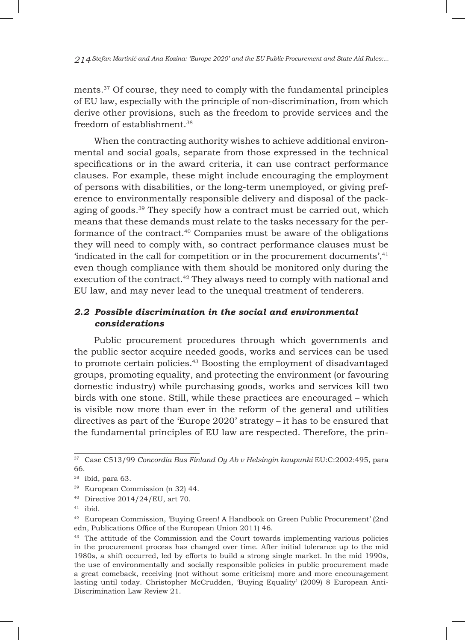ments.37 Of course, they need to comply with the fundamental principles of EU law, especially with the principle of non-discrimination, from which derive other provisions, such as the freedom to provide services and the freedom of establishment.38

When the contracting authority wishes to achieve additional environmental and social goals, separate from those expressed in the technical specifications or in the award criteria, it can use contract performance clauses. For example, these might include encouraging the employment of persons with disabilities, or the long-term unemployed, or giving preference to environmentally responsible delivery and disposal of the packaging of goods.39 They specify how a contract must be carried out, which means that these demands must relate to the tasks necessary for the performance of the contract.40 Companies must be aware of the obligations they will need to comply with, so contract performance clauses must be 'indicated in the call for competition or in the procurement documents', $41$ even though compliance with them should be monitored only during the execution of the contract.<sup>42</sup> They always need to comply with national and EU law, and may never lead to the unequal treatment of tenderers.

# *2.2 Possible discrimination in the social and environmental considerations*

Public procurement procedures through which governments and the public sector acquire needed goods, works and services can be used to promote certain policies.43 Boosting the employment of disadvantaged groups, promoting equality, and protecting the environment (or favouring domestic industry) while purchasing goods, works and services kill two birds with one stone. Still, while these practices are encouraged – which is visible now more than ever in the reform of the general and utilities directives as part of the 'Europe 2020' strategy – it has to be ensured that the fundamental principles of EU law are respected. Therefore, the prin-

<sup>37</sup> Case C513/99 *Concordia Bus Finland Oy Ab v Helsingin kaupunki* EU:C:2002:495, para 66.

<sup>38</sup> ibid, para 63.

<sup>39</sup> European Commission (n 32) 44.

<sup>40</sup> Directive 2014/24/EU, art 70.

 $41$  ibid.

<sup>42</sup> European Commission, 'Buying Green! A Handbook on Green Public Procurement' (2nd edn, Publications Office of the European Union 2011) 46.

<sup>&</sup>lt;sup>43</sup> The attitude of the Commission and the Court towards implementing various policies in the procurement process has changed over time. After initial tolerance up to the mid 1980s, a shift occurred, led by efforts to build a strong single market. In the mid 1990s, the use of environmentally and socially responsible policies in public procurement made a great comeback, receiving (not without some criticism) more and more encouragement lasting until today. Christopher McCrudden, 'Buying Equality' (2009) 8 European Anti-Discrimination Law Review 21.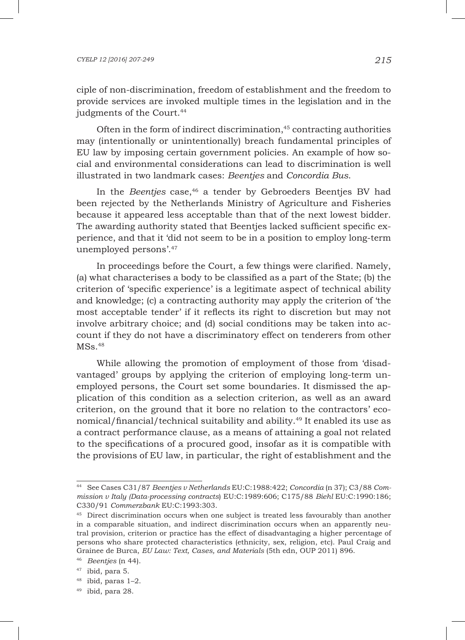ciple of non-discrimination, freedom of establishment and the freedom to provide services are invoked multiple times in the legislation and in the judgments of the Court.<sup>44</sup>

Often in the form of indirect discrimination,<sup>45</sup> contracting authorities may (intentionally or unintentionally) breach fundamental principles of EU law by imposing certain government policies. An example of how social and environmental considerations can lead to discrimination is well illustrated in two landmark cases: *Beentjes* and *Concordia Bus*.

In the *Beentjes* case,<sup>46</sup> a tender by Gebroeders Beentjes BV had been rejected by the Netherlands Ministry of Agriculture and Fisheries because it appeared less acceptable than that of the next lowest bidder. The awarding authority stated that Beentjes lacked sufficient specific experience, and that it 'did not seem to be in a position to employ long-term unemployed persons'.47

In proceedings before the Court, a few things were clarified. Namely, (a) what characterises a body to be classified as a part of the State; (b) the criterion of 'specific experience' is a legitimate aspect of technical ability and knowledge; (c) a contracting authority may apply the criterion of 'the most acceptable tender' if it reflects its right to discretion but may not involve arbitrary choice; and (d) social conditions may be taken into account if they do not have a discriminatory effect on tenderers from other  $MSS.<sup>48</sup>$ 

While allowing the promotion of employment of those from 'disadvantaged' groups by applying the criterion of employing long-term unemployed persons, the Court set some boundaries. It dismissed the application of this condition as a selection criterion, as well as an award criterion, on the ground that it bore no relation to the contractors' economical/financial/technical suitability and ability.49 It enabled its use as a contract performance clause, as a means of attaining a goal not related to the specifications of a procured good, insofar as it is compatible with the provisions of EU law, in particular, the right of establishment and the

<sup>44</sup> See Cases C31/87 *Beentjes v Netherlands* EU:C:1988:422; *Concordia* (n 37); C3/88 *Commission v Italy (Data-processing contracts*) EU:C:1989:606; C175/88 *Biehl* EU:C:1990:186; C330/91 *Commerzbank* EU:C:1993:303.

<sup>&</sup>lt;sup>45</sup> Direct discrimination occurs when one subject is treated less favourably than another in a comparable situation, and indirect discrimination occurs when an apparently neutral provision, criterion or practice has the effect of disadvantaging a higher percentage of persons who share protected characteristics (ethnicity, sex, religion, etc). Paul Craig and Grainee de Burca, *EU Law: Text, Cases, and Materials* (5th edn, OUP 2011) 896.

<sup>46</sup> *Beentjes* (n 44).

<sup>47</sup> ibid, para 5.

<sup>48</sup> ibid, paras 1–2.

 $49$  ibid, para 28.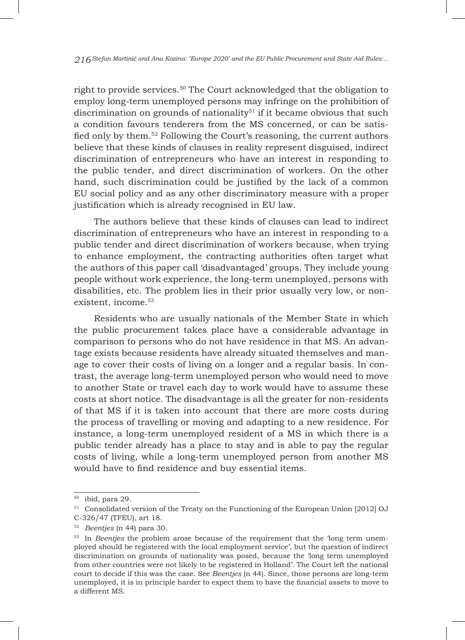right to provide services.50 The Court acknowledged that the obligation to employ long-term unemployed persons may infringe on the prohibition of discrimination on grounds of nationality<sup>51</sup> if it became obvious that such a condition favours tenderers from the MS concerned, or can be satisfied only by them.52 Following the Court's reasoning, the current authors believe that these kinds of clauses in reality represent disguised, indirect discrimination of entrepreneurs who have an interest in responding to the public tender, and direct discrimination of workers. On the other hand, such discrimination could be justified by the lack of a common EU social policy and as any other discriminatory measure with a proper justification which is already recognised in EU law.

The authors believe that these kinds of clauses can lead to indirect discrimination of entrepreneurs who have an interest in responding to a public tender and direct discrimination of workers because, when trying to enhance employment, the contracting authorities often target what the authors of this paper call 'disadvantaged' groups. They include young people without work experience, the long-term unemployed, persons with disabilities, etc. The problem lies in their prior usually very low, or nonexistent, income.<sup>53</sup>

Residents who are usually nationals of the Member State in which the public procurement takes place have a considerable advantage in comparison to persons who do not have residence in that MS. An advantage exists because residents have already situated themselves and manage to cover their costs of living on a longer and a regular basis. In contrast, the average long-term unemployed person who would need to move to another State or travel each day to work would have to assume these costs at short notice. The disadvantage is all the greater for non-residents of that MS if it is taken into account that there are more costs during the process of travelling or moving and adapting to a new residence. For instance, a long-term unemployed resident of a MS in which there is a public tender already has a place to stay and is able to pay the regular costs of living, while a long-term unemployed person from another MS would have to find residence and buy essential items.

 $50$  ibid, para 29.

<sup>&</sup>lt;sup>51</sup> Consolidated version of the Treaty on the Functioning of the European Union [2012] OJ C-326/47 (TFEU), art 18.

<sup>52</sup> *Beentjes* (n 44) para 30.

<sup>&</sup>lt;sup>53</sup> In *Beentjes* the problem arose because of the requirement that the 'long term unemployed should be registered with the local employment service', but the question of indirect discrimination on grounds of nationality was posed, because the 'long term unemployed from other countries were not likely to be registered in Holland'. The Court left the national court to decide if this was the case. See *Beentjes* (n 44). Since, those persons are long-term unemployed, it is in principle harder to expect them to have the financial assets to move to a different MS.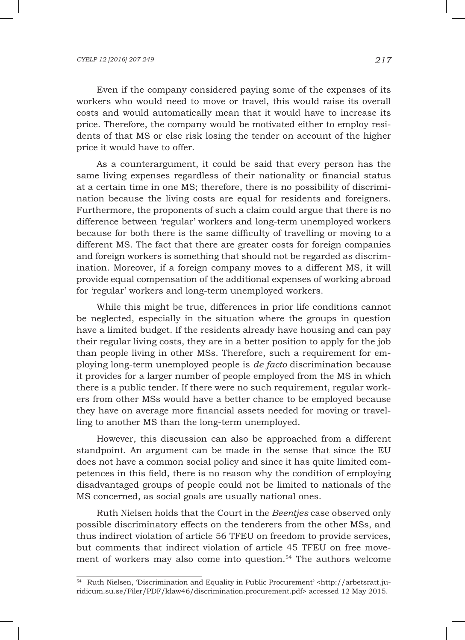Even if the company considered paying some of the expenses of its workers who would need to move or travel, this would raise its overall costs and would automatically mean that it would have to increase its price. Therefore, the company would be motivated either to employ residents of that MS or else risk losing the tender on account of the higher price it would have to offer.

As a counterargument, it could be said that every person has the same living expenses regardless of their nationality or financial status at a certain time in one MS; therefore, there is no possibility of discrimination because the living costs are equal for residents and foreigners. Furthermore, the proponents of such a claim could argue that there is no difference between 'regular' workers and long-term unemployed workers because for both there is the same difficulty of travelling or moving to a different MS. The fact that there are greater costs for foreign companies and foreign workers is something that should not be regarded as discrimination. Moreover, if a foreign company moves to a different MS, it will provide equal compensation of the additional expenses of working abroad for 'regular' workers and long-term unemployed workers.

While this might be true, differences in prior life conditions cannot be neglected, especially in the situation where the groups in question have a limited budget. If the residents already have housing and can pay their regular living costs, they are in a better position to apply for the job than people living in other MSs. Therefore, such a requirement for employing long-term unemployed people is *de facto* discrimination because it provides for a larger number of people employed from the MS in which there is a public tender. If there were no such requirement, regular workers from other MSs would have a better chance to be employed because they have on average more financial assets needed for moving or travelling to another MS than the long-term unemployed.

However, this discussion can also be approached from a different standpoint. An argument can be made in the sense that since the EU does not have a common social policy and since it has quite limited competences in this field, there is no reason why the condition of employing disadvantaged groups of people could not be limited to nationals of the MS concerned, as social goals are usually national ones.

Ruth Nielsen holds that the Court in the *Beentjes* case observed only possible discriminatory effects on the tenderers from the other MSs, and thus indirect violation of article 56 TFEU on freedom to provide services, but comments that indirect violation of article 45 TFEU on free movement of workers may also come into question.54 The authors welcome

<sup>54</sup> Ruth Nielsen, 'Discrimination and Equality in Public Procurement' <http://arbetsratt.juridicum.su.se/Filer/PDF/klaw46/discrimination.procurement.pdf> accessed 12 May 2015.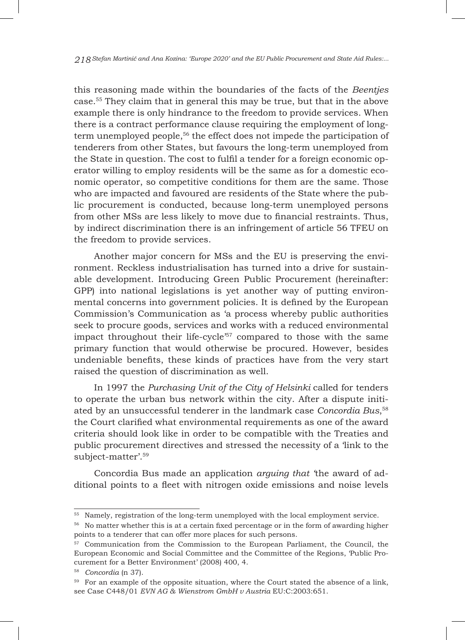this reasoning made within the boundaries of the facts of the *Beentjes* case.55 They claim that in general this may be true, but that in the above example there is only hindrance to the freedom to provide services. When there is a contract performance clause requiring the employment of longterm unemployed people,<sup>56</sup> the effect does not impede the participation of tenderers from other States, but favours the long-term unemployed from the State in question. The cost to fulfil a tender for a foreign economic operator willing to employ residents will be the same as for a domestic economic operator, so competitive conditions for them are the same. Those who are impacted and favoured are residents of the State where the public procurement is conducted, because long-term unemployed persons from other MSs are less likely to move due to financial restraints. Thus, by indirect discrimination there is an infringement of article 56 TFEU on the freedom to provide services.

Another major concern for MSs and the EU is preserving the environment. Reckless industrialisation has turned into a drive for sustainable development. Introducing Green Public Procurement (hereinafter: GPP) into national legislations is yet another way of putting environmental concerns into government policies. It is defined by the European Commission's Communication as 'a process whereby public authorities seek to procure goods, services and works with a reduced environmental impact throughout their life-cycle<sup>'57</sup> compared to those with the same primary function that would otherwise be procured. However, besides undeniable benefits, these kinds of practices have from the very start raised the question of discrimination as well.

In 1997 the *Purchasing Unit of the City of Helsinki* called for tenders to operate the urban bus network within the city. After a dispute initiated by an unsuccessful tenderer in the landmark case *Concordia Bus*, 58 the Court clarified what environmental requirements as one of the award criteria should look like in order to be compatible with the Treaties and public procurement directives and stressed the necessity of a 'link to the subject-matter'.59

Concordia Bus made an application *arguing that '*the award of additional points to a fleet with nitrogen oxide emissions and noise levels

<sup>55</sup> Namely, registration of the long-term unemployed with the local employment service.

<sup>&</sup>lt;sup>56</sup> No matter whether this is at a certain fixed percentage or in the form of awarding higher points to a tenderer that can offer more places for such persons.

<sup>57</sup> Communication from the Commission to the European Parliament, the Council, the European Economic and Social Committee and the Committee of the Regions, 'Public Procurement for a Better Environment' (2008) 400, 4.

<sup>58</sup> *Concordia* (n 37).

<sup>&</sup>lt;sup>59</sup> For an example of the opposite situation, where the Court stated the absence of a link, see Case C448/01 *EVN AG & Wienstrom GmbH v Austria* EU:C:2003:651.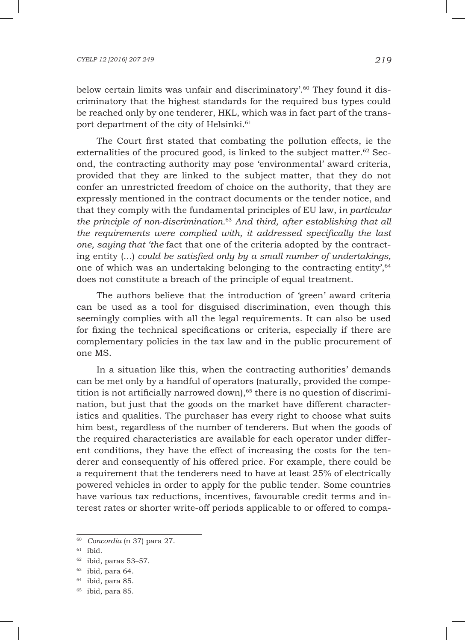### *CYELP 12 [2016] 207-249 219*

below certain limits was unfair and discriminatory'.<sup>60</sup> They found it discriminatory that the highest standards for the required bus types could be reached only by one tenderer, HKL, which was in fact part of the transport department of the city of Helsinki.<sup>61</sup>

The Court first stated that combating the pollution effects, ie the externalities of the procured good, is linked to the subject matter. $62$  Second, the contracting authority may pose 'environmental' award criteria, provided that they are linked to the subject matter, that they do not confer an unrestricted freedom of choice on the authority, that they are expressly mentioned in the contract documents or the tender notice, and that they comply with the fundamental principles of EU law, i*n particular the principle of non-discrimination.*<sup>63</sup> *And third, after establishing that all the requirements were complied with, it addressed specifically the last one, saying that 'the* fact that one of the criteria adopted by the contracting entity (...) *could be satisfied only by a small number of undertakings,*  one of which was an undertaking belonging to the contracting entity',64 does not constitute a breach of the principle of equal treatment.

The authors believe that the introduction of 'green' award criteria can be used as a tool for disguised discrimination, even though this seemingly complies with all the legal requirements. It can also be used for fixing the technical specifications or criteria, especially if there are complementary policies in the tax law and in the public procurement of one MS.

In a situation like this, when the contracting authorities' demands can be met only by a handful of operators (naturally, provided the competition is not artificially narrowed down), $65$  there is no question of discrimination, but just that the goods on the market have different characteristics and qualities. The purchaser has every right to choose what suits him best, regardless of the number of tenderers. But when the goods of the required characteristics are available for each operator under different conditions, they have the effect of increasing the costs for the tenderer and consequently of his offered price. For example, there could be a requirement that the tenderers need to have at least 25% of electrically powered vehicles in order to apply for the public tender. Some countries have various tax reductions, incentives, favourable credit terms and interest rates or shorter write-off periods applicable to or offered to compa-

<sup>60</sup> *Concordia* (n 37) para 27.

 $61$  ibid.

 $62$  ibid, paras 53-57.

<sup>63</sup> ibid, para 64.

<sup>64</sup> ibid, para 85.

 $65$  ibid, para 85.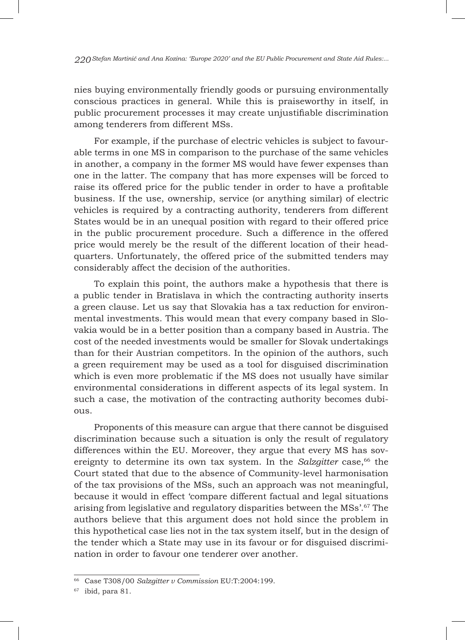nies buying environmentally friendly goods or pursuing environmentally conscious practices in general. While this is praiseworthy in itself, in public procurement processes it may create unjustifiable discrimination among tenderers from different MSs.

For example, if the purchase of electric vehicles is subject to favourable terms in one MS in comparison to the purchase of the same vehicles in another, a company in the former MS would have fewer expenses than one in the latter. The company that has more expenses will be forced to raise its offered price for the public tender in order to have a profitable business. If the use, ownership, service (or anything similar) of electric vehicles is required by a contracting authority, tenderers from different States would be in an unequal position with regard to their offered price in the public procurement procedure. Such a difference in the offered price would merely be the result of the different location of their headquarters. Unfortunately, the offered price of the submitted tenders may considerably affect the decision of the authorities.

To explain this point, the authors make a hypothesis that there is a public tender in Bratislava in which the contracting authority inserts a green clause. Let us say that Slovakia has a tax reduction for environmental investments. This would mean that every company based in Slovakia would be in a better position than a company based in Austria. The cost of the needed investments would be smaller for Slovak undertakings than for their Austrian competitors. In the opinion of the authors, such a green requirement may be used as a tool for disguised discrimination which is even more problematic if the MS does not usually have similar environmental considerations in different aspects of its legal system. In such a case, the motivation of the contracting authority becomes dubious.

Proponents of this measure can argue that there cannot be disguised discrimination because such a situation is only the result of regulatory differences within the EU. Moreover, they argue that every MS has sovereignty to determine its own tax system. In the *Salzgitter* case,<sup>66</sup> the Court stated that due to the absence of Community-level harmonisation of the tax provisions of the MSs, such an approach was not meaningful, because it would in effect 'compare different factual and legal situations arising from legislative and regulatory disparities between the MSs'.67 The authors believe that this argument does not hold since the problem in this hypothetical case lies not in the tax system itself, but in the design of the tender which a State may use in its favour or for disguised discrimination in order to favour one tenderer over another.

<sup>66</sup> Case T308/00 *Salzgitter v Commission* EU:T:2004:199.

 $67$  ibid, para 81.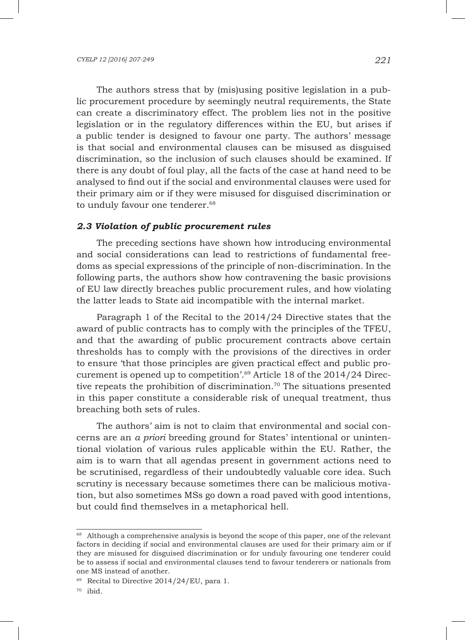The authors stress that by (mis)using positive legislation in a public procurement procedure by seemingly neutral requirements, the State can create a discriminatory effect. The problem lies not in the positive legislation or in the regulatory differences within the EU, but arises if a public tender is designed to favour one party. The authors' message is that social and environmental clauses can be misused as disguised discrimination, so the inclusion of such clauses should be examined. If there is any doubt of foul play, all the facts of the case at hand need to be analysed to find out if the social and environmental clauses were used for their primary aim or if they were misused for disguised discrimination or to unduly favour one tenderer.<sup>68</sup>

## *2.3 Violation of public procurement rules*

The preceding sections have shown how introducing environmental and social considerations can lead to restrictions of fundamental freedoms as special expressions of the principle of non-discrimination. In the following parts, the authors show how contravening the basic provisions of EU law directly breaches public procurement rules, and how violating the latter leads to State aid incompatible with the internal market.

Paragraph 1 of the Recital to the 2014/24 Directive states that the award of public contracts has to comply with the principles of the TFEU, and that the awarding of public procurement contracts above certain thresholds has to comply with the provisions of the directives in order to ensure 'that those principles are given practical effect and public procurement is opened up to competition'.69 Article 18 of the 2014/24 Directive repeats the prohibition of discrimination.<sup>70</sup> The situations presented in this paper constitute a considerable risk of unequal treatment, thus breaching both sets of rules.

The authors' aim is not to claim that environmental and social concerns are an *a priori* breeding ground for States' intentional or unintentional violation of various rules applicable within the EU. Rather, the aim is to warn that all agendas present in government actions need to be scrutinised, regardless of their undoubtedly valuable core idea. Such scrutiny is necessary because sometimes there can be malicious motivation, but also sometimes MSs go down a road paved with good intentions, but could find themselves in a metaphorical hell.

 $68$  Although a comprehensive analysis is beyond the scope of this paper, one of the relevant factors in deciding if social and environmental clauses are used for their primary aim or if they are misused for disguised discrimination or for unduly favouring one tenderer could be to assess if social and environmental clauses tend to favour tenderers or nationals from one MS instead of another.

 $69$  Recital to Directive 2014/24/EU, para 1.

<sup>70</sup> ibid.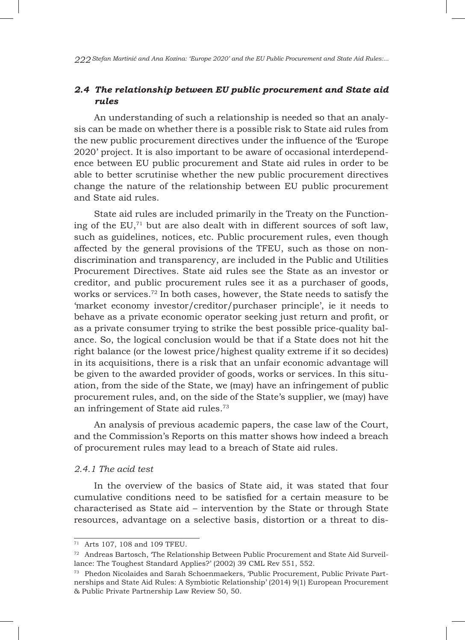# *2.4 The relationship between EU public procurement and State aid rules*

An understanding of such a relationship is needed so that an analysis can be made on whether there is a possible risk to State aid rules from the new public procurement directives under the influence of the 'Europe 2020' project. It is also important to be aware of occasional interdependence between EU public procurement and State aid rules in order to be able to better scrutinise whether the new public procurement directives change the nature of the relationship between EU public procurement and State aid rules.

State aid rules are included primarily in the Treaty on the Functioning of the  $EU$ ,<sup> $71$ </sup> but are also dealt with in different sources of soft law, such as guidelines, notices, etc. Public procurement rules, even though affected by the general provisions of the TFEU, such as those on nondiscrimination and transparency, are included in the Public and Utilities Procurement Directives. State aid rules see the State as an investor or creditor, and public procurement rules see it as a purchaser of goods, works or services.<sup>72</sup> In both cases, however, the State needs to satisfy the 'market economy investor/creditor/purchaser principle', ie it needs to behave as a private economic operator seeking just return and profit, or as a private consumer trying to strike the best possible price-quality balance. So, the logical conclusion would be that if a State does not hit the right balance (or the lowest price/highest quality extreme if it so decides) in its acquisitions, there is a risk that an unfair economic advantage will be given to the awarded provider of goods, works or services. In this situation, from the side of the State, we (may) have an infringement of public procurement rules, and, on the side of the State's supplier, we (may) have an infringement of State aid rules.73

An analysis of previous academic papers, the case law of the Court, and the Commission's Reports on this matter shows how indeed a breach of procurement rules may lead to a breach of State aid rules.

## *2.4.1 The acid test*

In the overview of the basics of State aid, it was stated that four cumulative conditions need to be satisfied for a certain measure to be characterised as State aid – intervention by the State or through State resources, advantage on a selective basis, distortion or a threat to dis-

<sup>71</sup> Arts 107, 108 and 109 TFEU.

 $72$  Andreas Bartosch, The Relationship Between Public Procurement and State Aid Surveillance: The Toughest Standard Applies?' (2002) 39 CML Rev 551, 552.

<sup>73</sup> Phedon Nicolaides and Sarah Schoenmaekers, 'Public Procurement, Public Private Partnerships and State Aid Rules: A Symbiotic Relationship' (2014) 9(1) European Procurement & Public Private Partnership Law Review 50, 50.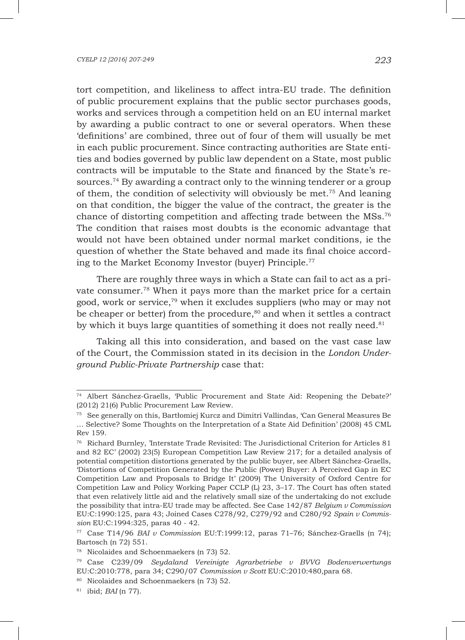tort competition, and likeliness to affect intra-EU trade. The definition of public procurement explains that the public sector purchases goods, works and services through a competition held on an EU internal market by awarding a public contract to one or several operators. When these 'definitions' are combined, three out of four of them will usually be met in each public procurement. Since contracting authorities are State entities and bodies governed by public law dependent on a State, most public contracts will be imputable to the State and financed by the State's resources.74 By awarding a contract only to the winning tenderer or a group of them, the condition of selectivity will obviously be met.75 And leaning on that condition, the bigger the value of the contract, the greater is the chance of distorting competition and affecting trade between the MSs.76 The condition that raises most doubts is the economic advantage that would not have been obtained under normal market conditions, ie the question of whether the State behaved and made its final choice according to the Market Economy Investor (buyer) Principle.77

There are roughly three ways in which a State can fail to act as a private consumer.78 When it pays more than the market price for a certain good, work or service,79 when it excludes suppliers (who may or may not be cheaper or better) from the procedure, $80$  and when it settles a contract by which it buys large quantities of something it does not really need.<sup>81</sup>

Taking all this into consideration, and based on the vast case law of the Court, the Commission stated in its decision in the *London Underground Public-Private Partnership* case that:

<sup>74</sup> Albert Sánchez-Graells, 'Public Procurement and State Aid: Reopening the Debate?' (2012) 21(6) Public Procurement Law Review.

<sup>75</sup> See generally on this, Bartłomiej Kurcz and Dimitri Vallindas, 'Can General Measures Be … Selective? Some Thoughts on the Interpretation of a State Aid Definition' (2008) 45 CML Rev 159.

<sup>76</sup> Richard Burnley, 'Interstate Trade Revisited: The Jurisdictional Criterion for Articles 81 and 82 EC' (2002) 23(5) European Competition Law Review 217; for a detailed analysis of potential competition distortions generated by the public buyer, see Albert Sánchez-Graells, 'Distortions of Competition Generated by the Public (Power) Buyer: A Perceived Gap in EC Competition Law and Proposals to Bridge It' (2009) The University of Oxford Centre for Competition Law and Policy Working Paper CCLP (L) 23, 3–17. The Court has often stated that even relatively little aid and the relatively small size of the undertaking do not exclude the possibility that intra-EU trade may be affected. See Case 142/87 *Belgium v Commission* EU:C:1990:125, para 43; Joined Cases C278/92, C279/92 and C280/92 *Spain v Commission* EU:C:1994:325, paras 40 - 42.

<sup>77</sup> Case T14/96 *BAI v Commission* EU:T:1999:12, paras 71–76; Sánchez-Graells (n 74); Bartosch (n 72) 551.

<sup>78</sup> Nicolaides and Schoenmaekers (n 73) 52.

<sup>79</sup> Case C239/09 *Seydaland Vereinigte Agrarbetriebe v BVVG Bodenverwertungs*  EU:C:2010:778, para 34; C290/07 *Commission v Scott* EU:C:2010:480*,*para 68.

<sup>80</sup> Nicolaides and Schoenmaekers (n 73) 52.

<sup>81</sup> ibid; *BAI* (n 77).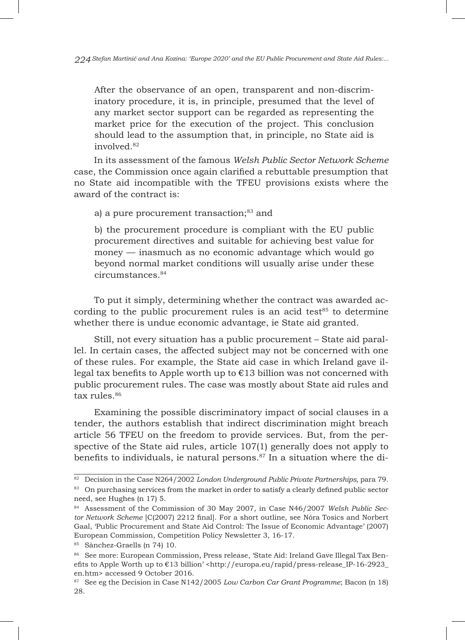After the observance of an open, transparent and non-discriminatory procedure, it is, in principle, presumed that the level of any market sector support can be regarded as representing the market price for the execution of the project. This conclusion should lead to the assumption that, in principle, no State aid is involved<sup>82</sup>

In its assessment of the famous *Welsh Public Sector Network Scheme* case, the Commission once again clarified a rebuttable presumption that no State aid incompatible with the TFEU provisions exists where the award of the contract is:

a) a pure procurement transaction;<sup>83</sup> and

b) the procurement procedure is compliant with the EU public procurement directives and suitable for achieving best value for money — inasmuch as no economic advantage which would go beyond normal market conditions will usually arise under these circumstances.84

To put it simply, determining whether the contract was awarded according to the public procurement rules is an acid test $85$  to determine whether there is undue economic advantage, ie State aid granted.

Still, not every situation has a public procurement – State aid parallel. In certain cases, the affected subject may not be concerned with one of these rules. For example, the State aid case in which Ireland gave illegal tax benefits to Apple worth up to  $E13$  billion was not concerned with public procurement rules. The case was mostly about State aid rules and tax rules.<sup>86</sup>

Examining the possible discriminatory impact of social clauses in a tender, the authors establish that indirect discrimination might breach article 56 TFEU on the freedom to provide services. But, from the perspective of the State aid rules, article 107(1) generally does not apply to benefits to individuals, ie natural persons. $87$  In a situation where the di-

<sup>82</sup> Decision in the Case N264/2002 *London Underground Public Private Partnerships,* para 79.

<sup>&</sup>lt;sup>83</sup> On purchasing services from the market in order to satisfy a clearly defined public sector need, see Hughes (n 17) 5.

<sup>84</sup> Assessment of the Commission of 30 May 2007, in Case N46/2007 *Welsh Public Sector Network Scheme* [C(2007) 2212 final]. For a short outline, see Nóra Tosics and Norbert Gaal, 'Public Procurement and State Aid Control: The Issue of Economic Advantage' (2007) European Commission, Competition Policy Newsletter 3, 16-17.

<sup>85</sup> Sànchez-Graells (n 74) 10.

<sup>86</sup> See more: European Commission, Press release, 'State Aid: Ireland Gave Illegal Tax Benefits to Apple Worth up to  $E13$  billion' <http://europa.eu/rapid/press-release\_IP-16-2923\_ en.htm> accessed 9 October 2016.

<sup>87</sup> See eg the Decision in Case N142/2005 *Low Carbon Car Grant Programme*; Bacon (n 18) 28.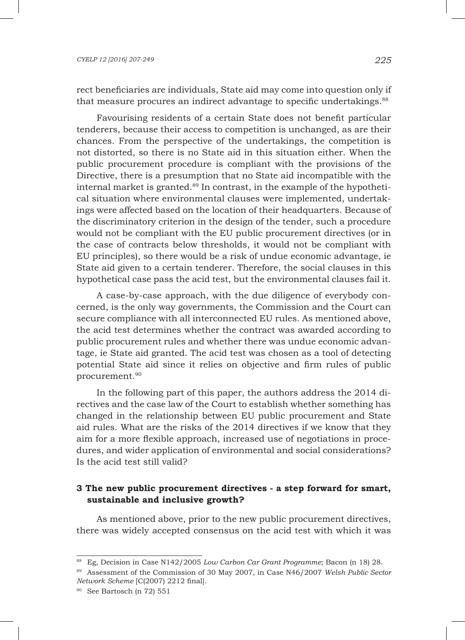rect beneficiaries are individuals, State aid may come into question only if that measure procures an indirect advantage to specific undertakings.<sup>88</sup>

Favourising residents of a certain State does not benefit particular tenderers, because their access to competition is unchanged, as are their chances. From the perspective of the undertakings, the competition is not distorted, so there is no State aid in this situation either. When the public procurement procedure is compliant with the provisions of the Directive, there is a presumption that no State aid incompatible with the internal market is granted.<sup>89</sup> In contrast, in the example of the hypothetical situation where environmental clauses were implemented, undertakings were affected based on the location of their headquarters. Because of the discriminatory criterion in the design of the tender, such a procedure would not be compliant with the EU public procurement directives (or in the case of contracts below thresholds, it would not be compliant with EU principles), so there would be a risk of undue economic advantage, ie State aid given to a certain tenderer. Therefore, the social clauses in this hypothetical case pass the acid test, but the environmental clauses fail it.

A case-by-case approach, with the due diligence of everybody concerned, is the only way governments, the Commission and the Court can secure compliance with all interconnected EU rules. As mentioned above, the acid test determines whether the contract was awarded according to public procurement rules and whether there was undue economic advantage, ie State aid granted. The acid test was chosen as a tool of detecting potential State aid since it relies on objective and firm rules of public procurement.90

In the following part of this paper, the authors address the 2014 directives and the case law of the Court to establish whether something has changed in the relationship between EU public procurement and State aid rules. What are the risks of the 2014 directives if we know that they aim for a more flexible approach, increased use of negotiations in procedures, and wider application of environmental and social considerations? Is the acid test still valid?

# **3 The new public procurement directives - a step forward for smart, sustainable and inclusive growth?**

As mentioned above, prior to the new public procurement directives, there was widely accepted consensus on the acid test with which it was

<sup>88</sup> Eg, Decision in Case N142/2005 *Low Carbon Car Grant Programme*; Bacon (n 18) 28.

<sup>89</sup> Assessment of the Commission of 30 May 2007, in Case N46/2007 *Welsh Public Sector Network Scheme* [C(2007) 2212 final].

<sup>90</sup> See Bartosch (n 72) 551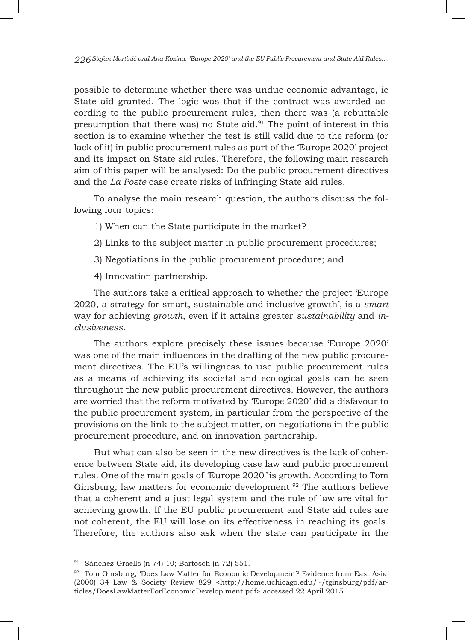possible to determine whether there was undue economic advantage, ie State aid granted. The logic was that if the contract was awarded according to the public procurement rules, then there was (a rebuttable presumption that there was) no State aid. $91$  The point of interest in this section is to examine whether the test is still valid due to the reform (or lack of it) in public procurement rules as part of the 'Europe 2020' project and its impact on State aid rules. Therefore, the following main research aim of this paper will be analysed: Do the public procurement directives and the *La Poste* case create risks of infringing State aid rules*.*

To analyse the main research question, the authors discuss the following four topics:

- 1) When can the State participate in the market?
- 2) Links to the subject matter in public procurement procedures;
- 3) Negotiations in the public procurement procedure; and
- 4) Innovation partnership.

The authors take a critical approach to whether the project 'Europe 2020, a strategy for smart, sustainable and inclusive growth', is a *smart* way for achieving *growth*, even if it attains greater *sustainability* and *inclusiveness*.

The authors explore precisely these issues because 'Europe 2020' was one of the main influences in the drafting of the new public procurement directives. The EU's willingness to use public procurement rules as a means of achieving its societal and ecological goals can be seen throughout the new public procurement directives. However, the authors are worried that the reform motivated by 'Europe 2020' did a disfavour to the public procurement system, in particular from the perspective of the provisions on the link to the subject matter, on negotiations in the public procurement procedure, and on innovation partnership.

But what can also be seen in the new directives is the lack of coherence between State aid, its developing case law and public procurement rules. One of the main goals of *'*Europe 2020*'* is growth. According to Tom Ginsburg, law matters for economic development.<sup>92</sup> The authors believe that a coherent and a just legal system and the rule of law are vital for achieving growth. If the EU public procurement and State aid rules are not coherent, the EU will lose on its effectiveness in reaching its goals. Therefore, the authors also ask when the state can participate in the

<sup>91</sup> Sànchez-Graells (n 74) 10; Bartosch (n 72) 551.

<sup>92</sup> Tom Ginsburg, 'Does Law Matter for Economic Development? Evidence from East Asia' (2000) 34 Law & Society Review 829 <http://home.uchicago.edu/~/tginsburg/pdf/articles/DoesLawMatterForEconomicDevelop ment.pdf> accessed 22 April 2015.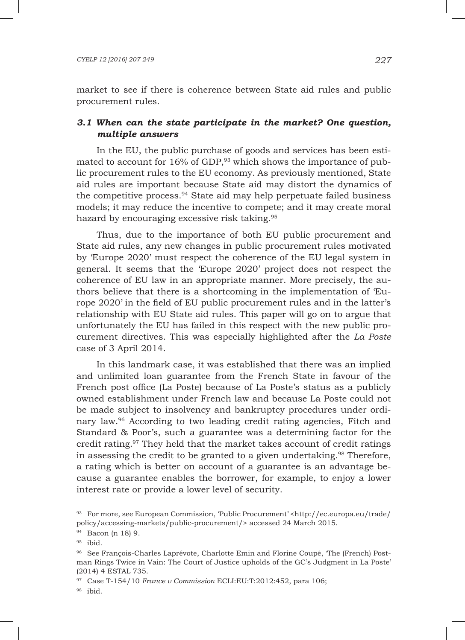market to see if there is coherence between State aid rules and public procurement rules.

# *3.1 When can the state participate in the market? One question, multiple answers*

In the EU, the public purchase of goods and services has been estimated to account for 16% of GDP,<sup>93</sup> which shows the importance of public procurement rules to the EU economy. As previously mentioned, State aid rules are important because State aid may distort the dynamics of the competitive process.94 State aid may help perpetuate failed business models; it may reduce the incentive to compete; and it may create moral hazard by encouraging excessive risk taking.<sup>95</sup>

Thus, due to the importance of both EU public procurement and State aid rules, any new changes in public procurement rules motivated by 'Europe 2020' must respect the coherence of the EU legal system in general. It seems that the 'Europe 2020' project does not respect the coherence of EU law in an appropriate manner. More precisely, the authors believe that there is a shortcoming in the implementation of 'Europe 2020' in the field of EU public procurement rules and in the latter's relationship with EU State aid rules. This paper will go on to argue that unfortunately the EU has failed in this respect with the new public procurement directives. This was especially highlighted after the *La Poste* case of 3 April 2014.

In this landmark case, it was established that there was an implied and unlimited loan guarantee from the French State in favour of the French post office (La Poste) because of La Poste's status as a publicly owned establishment under French law and because La Poste could not be made subject to insolvency and bankruptcy procedures under ordinary law.96 According to two leading credit rating agencies, Fitch and Standard & Poor's, such a guarantee was a determining factor for the credit rating.97 They held that the market takes account of credit ratings in assessing the credit to be granted to a given undertaking.<sup>98</sup> Therefore, a rating which is better on account of a guarantee is an advantage because a guarantee enables the borrower, for example, to enjoy a lower interest rate or provide a lower level of security.

<sup>93</sup> For more, see European Commission, 'Public Procurement' <http://ec.europa.eu/trade/ policy/accessing-markets/public-procurement/> accessed 24 March 2015.

<sup>94</sup> Bacon (n 18) 9.

<sup>95</sup> ibid.

<sup>96</sup> See François-Charles Laprévote, Charlotte Emin and Florine Coupé, 'The (French) Postman Rings Twice in Vain: The Court of Justice upholds of the GC's Judgment in La Poste' (2014) 4 ESTAL 735.

<sup>97</sup> Case T-154/10 *France v Commission* ECLI:EU:T:2012:452, para 106;

<sup>98</sup> ibid.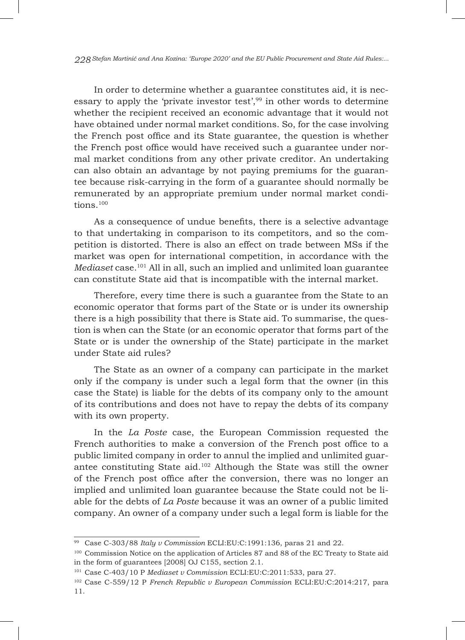In order to determine whether a guarantee constitutes aid, it is necessary to apply the 'private investor test',  $99$  in other words to determine whether the recipient received an economic advantage that it would not have obtained under normal market conditions. So, for the case involving the French post office and its State guarantee, the question is whether the French post office would have received such a guarantee under normal market conditions from any other private creditor. An undertaking can also obtain an advantage by not paying premiums for the guarantee because risk-carrying in the form of a guarantee should normally be remunerated by an appropriate premium under normal market conditions.<sup>100</sup>

As a consequence of undue benefits, there is a selective advantage to that undertaking in comparison to its competitors, and so the competition is distorted. There is also an effect on trade between MSs if the market was open for international competition, in accordance with the *Mediaset* case.101 All in all, such an implied and unlimited loan guarantee can constitute State aid that is incompatible with the internal market.

Therefore, every time there is such a guarantee from the State to an economic operator that forms part of the State or is under its ownership there is a high possibility that there is State aid. To summarise, the question is when can the State (or an economic operator that forms part of the State or is under the ownership of the State) participate in the market under State aid rules?

The State as an owner of a company can participate in the market only if the company is under such a legal form that the owner (in this case the State) is liable for the debts of its company only to the amount of its contributions and does not have to repay the debts of its company with its own property.

In the *La Poste* case, the European Commission requested the French authorities to make a conversion of the French post office to a public limited company in order to annul the implied and unlimited guarantee constituting State aid.102 Although the State was still the owner of the French post office after the conversion, there was no longer an implied and unlimited loan guarantee because the State could not be liable for the debts of *La Poste* because it was an owner of a public limited company. An owner of a company under such a legal form is liable for the

<sup>99</sup> Case C-303/88 *Italy v Commission* ECLI:EU:C:1991:136, paras 21 and 22.

<sup>&</sup>lt;sup>100</sup> Commission Notice on the application of Articles 87 and 88 of the EC Treaty to State aid in the form of guarantees [2008] OJ C155, section 2.1.

<sup>101</sup> Case C-403/10 P *Mediaset v Commission* ECLI:EU:C:2011:533, para 27.

<sup>102</sup> Case C-559/12 P *French Republic v European Commission* ECLI:EU:C:2014:217, para 11.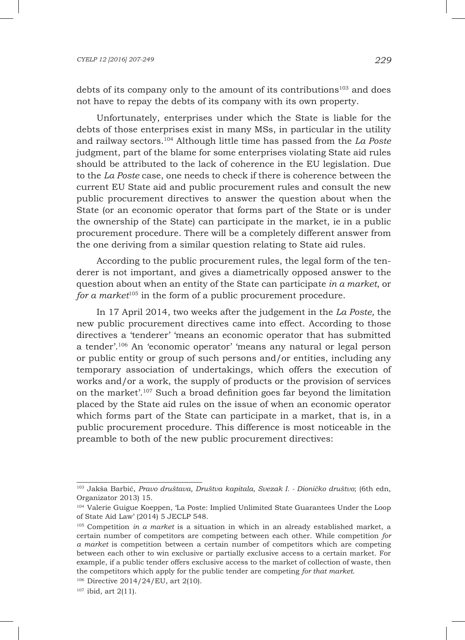debts of its company only to the amount of its contributions<sup>103</sup> and does not have to repay the debts of its company with its own property.

Unfortunately, enterprises under which the State is liable for the debts of those enterprises exist in many MSs, in particular in the utility and railway sectors.104 Although little time has passed from the *La Poste* judgment, part of the blame for some enterprises violating State aid rules should be attributed to the lack of coherence in the EU legislation. Due to the *La Poste* case, one needs to check if there is coherence between the current EU State aid and public procurement rules and consult the new public procurement directives to answer the question about when the State (or an economic operator that forms part of the State or is under the ownership of the State) can participate in the market, ie in a public procurement procedure. There will be a completely different answer from the one deriving from a similar question relating to State aid rules.

According to the public procurement rules, the legal form of the tenderer is not important, and gives a diametrically opposed answer to the question about when an entity of the State can participate *in a market*, or *for a market*<sup>105</sup> in the form of a public procurement procedure.

In 17 April 2014, two weeks after the judgement in the *La Poste,* the new public procurement directives came into effect. According to those directives a 'tenderer' 'means an economic operator that has submitted a tender'.106 An 'economic operator' 'means any natural or legal person or public entity or group of such persons and/or entities, including any temporary association of undertakings, which offers the execution of works and/or a work, the supply of products or the provision of services on the market'.107 Such a broad definition goes far beyond the limitation placed by the State aid rules on the issue of when an economic operator which forms part of the State can participate in a market, that is, in a public procurement procedure. This difference is most noticeable in the preamble to both of the new public procurement directives:

<sup>103</sup> Jakša Barbić, *Pravo društava, Društva kapitala, Svezak I. - Dioničko društvo*; (6th edn, Organizator 2013) 15.

<sup>104</sup> Valerie Guigue Koeppen, 'La Poste: Implied Unlimited State Guarantees Under the Loop of State Aid Law' (2014) 5 JECLP 548.

<sup>105</sup> Competition *in a market* is a situation in which in an already established market, a certain number of competitors are competing between each other. While competition *for a market* is competition between a certain number of competitors which are competing between each other to win exclusive or partially exclusive access to a certain market. For example, if a public tender offers exclusive access to the market of collection of waste, then the competitors which apply for the public tender are competing *for that market*.

<sup>106</sup> Directive 2014/24/EU, art 2(10).

 $107$  ibid, art  $2(11)$ .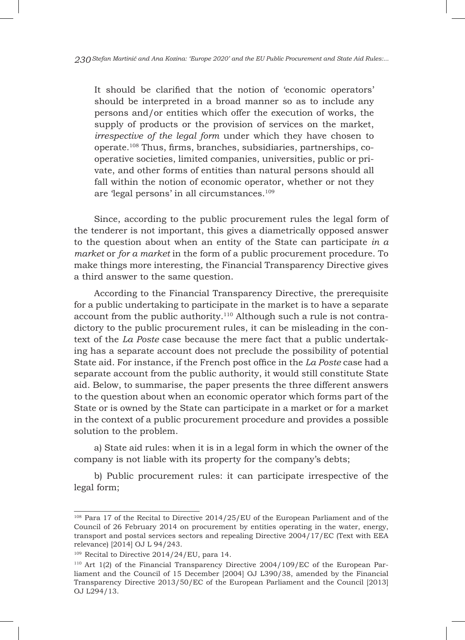It should be clarified that the notion of 'economic operators' should be interpreted in a broad manner so as to include any persons and/or entities which offer the execution of works, the supply of products or the provision of services on the market, *irrespective of the legal form* under which they have chosen to operate.108 Thus, firms, branches, subsidiaries, partnerships, cooperative societies, limited companies, universities, public or private, and other forms of entities than natural persons should all fall within the notion of economic operator, whether or not they are 'legal persons' in all circumstances.109

Since, according to the public procurement rules the legal form of the tenderer is not important, this gives a diametrically opposed answer to the question about when an entity of the State can participate *in a market* or *for a market* in the form of a public procurement procedure. To make things more interesting, the Financial Transparency Directive gives a third answer to the same question.

According to the Financial Transparency Directive, the prerequisite for a public undertaking to participate in the market is to have a separate account from the public authority.<sup>110</sup> Although such a rule is not contradictory to the public procurement rules, it can be misleading in the context of the *La Poste* case because the mere fact that a public undertaking has a separate account does not preclude the possibility of potential State aid. For instance, if the French post office in the *La Poste* case had a separate account from the public authority, it would still constitute State aid. Below, to summarise, the paper presents the three different answers to the question about when an economic operator which forms part of the State or is owned by the State can participate in a market or for a market in the context of a public procurement procedure and provides a possible solution to the problem.

a) State aid rules: when it is in a legal form in which the owner of the company is not liable with its property for the company's debts;

b) Public procurement rules: it can participate irrespective of the legal form;

<sup>108</sup> Para 17 of the Recital to Directive 2014/25/EU of the European Parliament and of the Council of 26 February 2014 on procurement by entities operating in the water, energy, transport and postal services sectors and repealing Directive 2004/17/EC (Text with EEA relevance) [2014] OJ L 94/243.

<sup>&</sup>lt;sup>109</sup> Recital to Directive 2014/24/EU, para 14.

<sup>110</sup> Art 1(2) of the Financial Transparency Directive 2004/109/EC of the European Parliament and the Council of 15 December [2004] OJ L390/38, amended by the Financial Transparency Directive 2013/50/EC of the European Parliament and the Council [2013] OJ L294/13.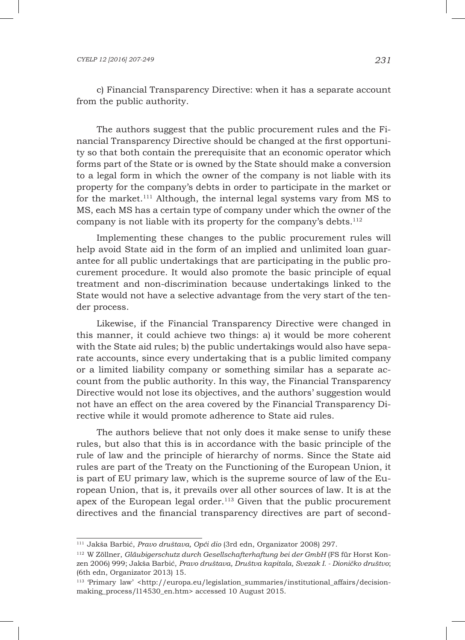### *CYELP 12 [2016] 207-249 231*

c) Financial Transparency Directive: when it has a separate account from the public authority.

The authors suggest that the public procurement rules and the Financial Transparency Directive should be changed at the first opportunity so that both contain the prerequisite that an economic operator which forms part of the State or is owned by the State should make a conversion to a legal form in which the owner of the company is not liable with its property for the company's debts in order to participate in the market or for the market.<sup>111</sup> Although, the internal legal systems vary from  $\overline{MS}$  to MS, each MS has a certain type of company under which the owner of the company is not liable with its property for the company's debts. $112$ 

Implementing these changes to the public procurement rules will help avoid State aid in the form of an implied and unlimited loan guarantee for all public undertakings that are participating in the public procurement procedure. It would also promote the basic principle of equal treatment and non-discrimination because undertakings linked to the State would not have a selective advantage from the very start of the tender process.

Likewise, if the Financial Transparency Directive were changed in this manner, it could achieve two things: a) it would be more coherent with the State aid rules; b) the public undertakings would also have separate accounts, since every undertaking that is a public limited company or a limited liability company or something similar has a separate account from the public authority. In this way, the Financial Transparency Directive would not lose its objectives, and the authors' suggestion would not have an effect on the area covered by the Financial Transparency Directive while it would promote adherence to State aid rules.

The authors believe that not only does it make sense to unify these rules, but also that this is in accordance with the basic principle of the rule of law and the principle of hierarchy of norms. Since the State aid rules are part of the Treaty on the Functioning of the European Union, it is part of EU primary law, which is the supreme source of law of the European Union, that is, it prevails over all other sources of law. It is at the apex of the European legal order.<sup>113</sup> Given that the public procurement directives and the financial transparency directives are part of second-

<sup>111</sup> Jakša Barbić, *Pravo društava, Opći dio* (3rd edn, Organizator 2008) 297.

<sup>112</sup> W Zöllner, *Gläubigerschutz durch Gesellschafterhaftung bei der GmbH* (FS für Horst Konzen 2006) 999; Jakša Barbić, *Pravo društava, Društva kapitala, Svezak I. - Dioničko društvo*; (6th edn, Organizator 2013) 15.

<sup>&</sup>lt;sup>113</sup> 'Primary law' <http://europa.eu/legislation\_summaries/institutional\_affairs/decisionmaking process/l14530 en.htm> accessed 10 August 2015.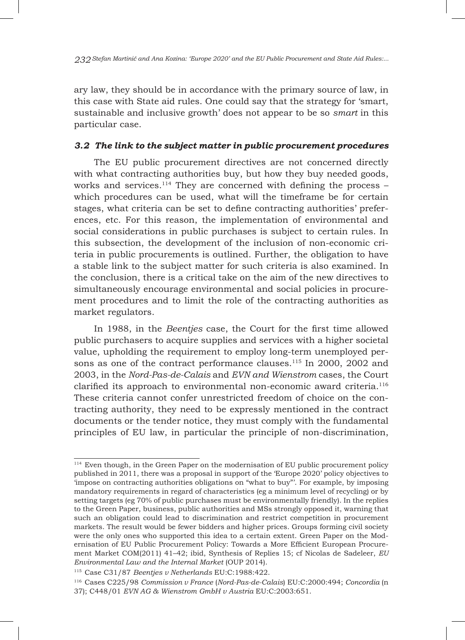ary law, they should be in accordance with the primary source of law, in this case with State aid rules. One could say that the strategy for 'smart, sustainable and inclusive growth' does not appear to be so *smart* in this particular case.

# *3.2 The link to the subject matter in public procurement procedures*

The EU public procurement directives are not concerned directly with what contracting authorities buy, but how they buy needed goods, works and services.<sup>114</sup> They are concerned with defining the process  $$ which procedures can be used, what will the timeframe be for certain stages, what criteria can be set to define contracting authorities' preferences, etc. For this reason, the implementation of environmental and social considerations in public purchases is subject to certain rules. In this subsection, the development of the inclusion of non-economic criteria in public procurements is outlined. Further, the obligation to have a stable link to the subject matter for such criteria is also examined. In the conclusion, there is a critical take on the aim of the new directives to simultaneously encourage environmental and social policies in procurement procedures and to limit the role of the contracting authorities as market regulators.

In 1988, in the *Beentjes* case, the Court for the first time allowed public purchasers to acquire supplies and services with a higher societal value, upholding the requirement to employ long-term unemployed persons as one of the contract performance clauses.<sup>115</sup> In 2000, 2002 and 2003, in the *Nord-Pas-de-Calais* and *EVN and Wienstrom* cases, the Court clarified its approach to environmental non-economic award criteria.116 These criteria cannot confer unrestricted freedom of choice on the contracting authority, they need to be expressly mentioned in the contract documents or the tender notice, they must comply with the fundamental principles of EU law, in particular the principle of non-discrimination,

<sup>114</sup> Even though, in the Green Paper on the modernisation of EU public procurement policy published in 2011, there was a proposal in support of the 'Europe 2020' policy objectives to 'impose on contracting authorities obligations on "what to buy"'. For example, by imposing mandatory requirements in regard of characteristics (eg a minimum level of recycling) or by setting targets (eg 70% of public purchases must be environmentally friendly). In the replies to the Green Paper, business, public authorities and MSs strongly opposed it, warning that such an obligation could lead to discrimination and restrict competition in procurement markets. The result would be fewer bidders and higher prices. Groups forming civil society were the only ones who supported this idea to a certain extent. Green Paper on the Modernisation of EU Public Procurement Policy: Towards a More Efficient European Procurement Market COM(2011) 41–42; ibid, Synthesis of Replies 15; cf Nicolas de Sadeleer, *EU Environmental Law and the Internal Market* (OUP 2014).

<sup>115</sup> Case C31/87 *Beentjes v Netherlands* EU:C:1988:422.

<sup>116</sup> Cases C225/98 *Commission v France* (*Nord-Pas-de-Calais*) EU:C:2000:494; *Concordia* (n 37); C448/01 *EVN AG & Wienstrom GmbH v Austria* EU:C:2003:651.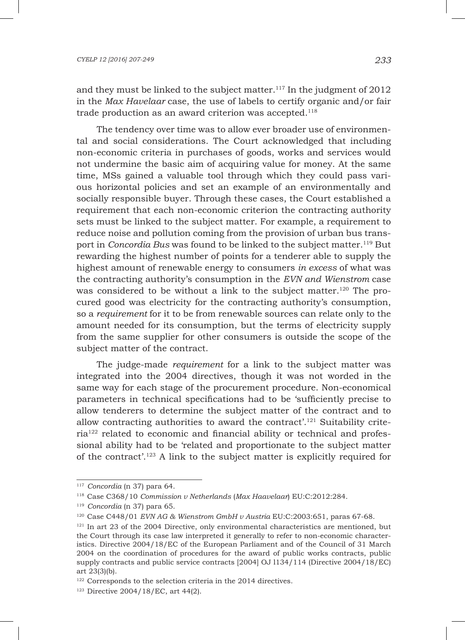and they must be linked to the subject matter.<sup>117</sup> In the judgment of  $2012$ in the *Max Havelaar* case, the use of labels to certify organic and/or fair trade production as an award criterion was accepted. $118$ 

The tendency over time was to allow ever broader use of environmental and social considerations. The Court acknowledged that including non-economic criteria in purchases of goods, works and services would not undermine the basic aim of acquiring value for money. At the same time, MSs gained a valuable tool through which they could pass various horizontal policies and set an example of an environmentally and socially responsible buyer. Through these cases, the Court established a requirement that each non-economic criterion the contracting authority sets must be linked to the subject matter. For example, a requirement to reduce noise and pollution coming from the provision of urban bus transport in *Concordia Bus* was found to be linked to the subject matter.119 But rewarding the highest number of points for a tenderer able to supply the highest amount of renewable energy to consumers *in excess* of what was the contracting authority's consumption in the *EVN and Wienstrom* case was considered to be without a link to the subject matter.120 The procured good was electricity for the contracting authority's consumption, so a *requirement* for it to be from renewable sources can relate only to the amount needed for its consumption, but the terms of electricity supply from the same supplier for other consumers is outside the scope of the subject matter of the contract.

The judge-made *requirement* for a link to the subject matter was integrated into the 2004 directives, though it was not worded in the same way for each stage of the procurement procedure. Non-economical parameters in technical specifications had to be 'sufficiently precise to allow tenderers to determine the subject matter of the contract and to allow contracting authorities to award the contract'.<sup>121</sup> Suitability criteria122 related to economic and financial ability or technical and professional ability had to be 'related and proportionate to the subject matter of the contract'.123 A link to the subject matter is explicitly required for

<sup>117</sup> *Concordia* (n 37) para 64.

<sup>118</sup> Case C368/10 *Commission v Netherlands* (*Max Haavelaar*) EU:C:2012:284.

<sup>119</sup> *Concordia* (n 37) para 65.

<sup>120</sup> Case C448/01 *EVN AG & Wienstrom GmbH v Austria* EU:C:2003:651, paras 67-68.

<sup>&</sup>lt;sup>121</sup> In art 23 of the 2004 Directive, only environmental characteristics are mentioned, but the Court through its case law interpreted it generally to refer to non-economic characteristics. Directive 2004/18/EC of the European Parliament and of the Council of 31 March 2004 on the coordination of procedures for the award of public works contracts, public supply contracts and public service contracts [2004] OJ l134/114 (Directive 2004/18/EC) art 23(3)(b).

<sup>122</sup> Corresponds to the selection criteria in the 2014 directives.

<sup>123</sup> Directive 2004/18/EC, art 44(2).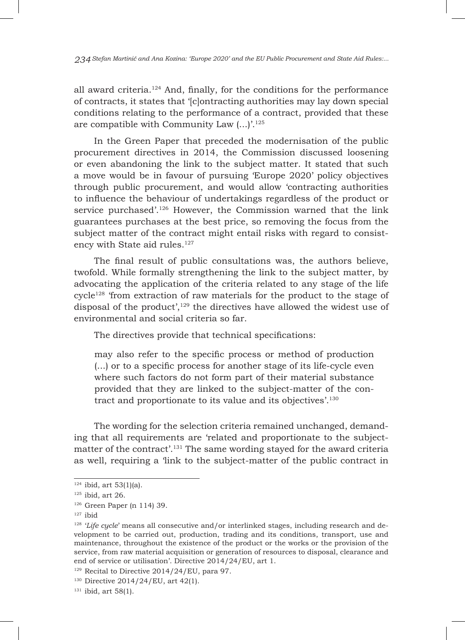all award criteria.<sup>124</sup> And, finally, for the conditions for the performance of contracts, it states that '[c]ontracting authorities may lay down special conditions relating to the performance of a contract, provided that these are compatible with Community Law  $(...)$ <sup>125</sup>

In the Green Paper that preceded the modernisation of the public procurement directives in 2014, the Commission discussed loosening or even abandoning the link to the subject matter. It stated that such a move would be in favour of pursuing 'Europe 2020' policy objectives through public procurement, and would allow 'contracting authorities to influence the behaviour of undertakings regardless of the product or service purchased'.126 However, the Commission warned that the link guarantees purchases at the best price, so removing the focus from the subject matter of the contract might entail risks with regard to consistency with State aid rules.<sup>127</sup>

The final result of public consultations was, the authors believe, twofold. While formally strengthening the link to the subject matter, by advocating the application of the criteria related to any stage of the life  $cycle<sup>128</sup>$  'from extraction of raw materials for the product to the stage of disposal of the product', $129$  the directives have allowed the widest use of environmental and social criteria so far.

The directives provide that technical specifications:

may also refer to the specific process or method of production (...) or to a specific process for another stage of its life-cycle even where such factors do not form part of their material substance provided that they are linked to the subject-matter of the contract and proportionate to its value and its objectives'.130

The wording for the selection criteria remained unchanged, demanding that all requirements are 'related and proportionate to the subjectmatter of the contract'.<sup>131</sup> The same wording stayed for the award criteria as well, requiring a 'link to the subject-matter of the public contract in

 $124$  ibid, art 53(1)(a).

<sup>125</sup> ibid, art 26.

<sup>126</sup> Green Paper (n 114) 39.

 $127$  ibid

<sup>128</sup> '*Life cycle*' means all consecutive and/or interlinked stages, including research and development to be carried out, production, trading and its conditions, transport, use and maintenance, throughout the existence of the product or the works or the provision of the service, from raw material acquisition or generation of resources to disposal, clearance and end of service or utilisation'. Directive 2014/24/EU, art 1.

 $129$  Recital to Directive 2014/24/EU, para 97.

<sup>&</sup>lt;sup>130</sup> Directive 2014/24/EU, art 42(1).

<sup>131</sup> ibid, art 58(1).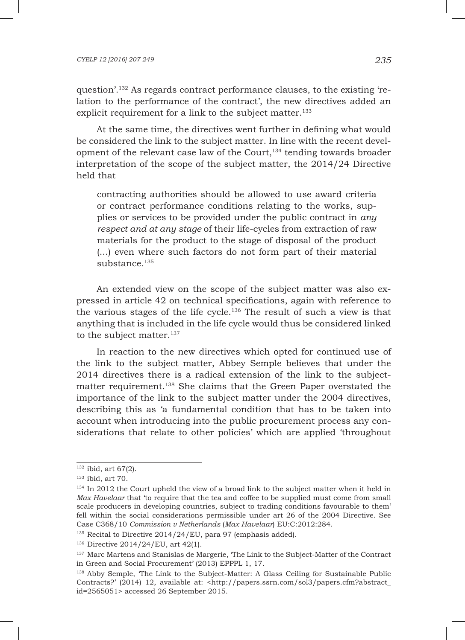question'.132 As regards contract performance clauses, to the existing 'relation to the performance of the contract', the new directives added an explicit requirement for a link to the subject matter.<sup>133</sup>

At the same time, the directives went further in defining what would be considered the link to the subject matter. In line with the recent development of the relevant case law of the Court,<sup>134</sup> tending towards broader interpretation of the scope of the subject matter, the 2014/24 Directive held that

contracting authorities should be allowed to use award criteria or contract performance conditions relating to the works, supplies or services to be provided under the public contract in *any respect and at any stage* of their life-cycles from extraction of raw materials for the product to the stage of disposal of the product (...) even where such factors do not form part of their material substance.<sup>135</sup>

An extended view on the scope of the subject matter was also expressed in article 42 on technical specifications, again with reference to the various stages of the life cycle.136 The result of such a view is that anything that is included in the life cycle would thus be considered linked to the subject matter.<sup>137</sup>

In reaction to the new directives which opted for continued use of the link to the subject matter, Abbey Semple believes that under the 2014 directives there is a radical extension of the link to the subjectmatter requirement.<sup>138</sup> She claims that the Green Paper overstated the importance of the link to the subject matter under the 2004 directives, describing this as 'a fundamental condition that has to be taken into account when introducing into the public procurement process any considerations that relate to other policies' which are applied 'throughout

<sup>132</sup> ibid, art 67(2).

<sup>133</sup> ibid, art 70.

<sup>&</sup>lt;sup>134</sup> In 2012 the Court upheld the view of a broad link to the subject matter when it held in *Max Havelaar* that 'to require that the tea and coffee to be supplied must come from small scale producers in developing countries, subject to trading conditions favourable to them' fell within the social considerations permissible under art 26 of the 2004 Directive. See Case C368/10 *Commission v Netherlands* (*Max Havelaar*) EU:C:2012:284.

<sup>&</sup>lt;sup>135</sup> Recital to Directive 2014/24/EU, para 97 (emphasis added).

<sup>136</sup> Directive 2014/24/EU, art 42(1).

<sup>&</sup>lt;sup>137</sup> Marc Martens and Stanislas de Margerie, 'The Link to the Subject-Matter of the Contract in Green and Social Procurement' (2013) EPPPL 1, 17.

<sup>138</sup> Abby Semple, 'The Link to the Subject-Matter: A Glass Ceiling for Sustainable Public Contracts?' (2014) 12, available at: <http://papers.ssrn.com/sol3/papers.cfm?abstract\_ id=2565051> accessed 26 September 2015.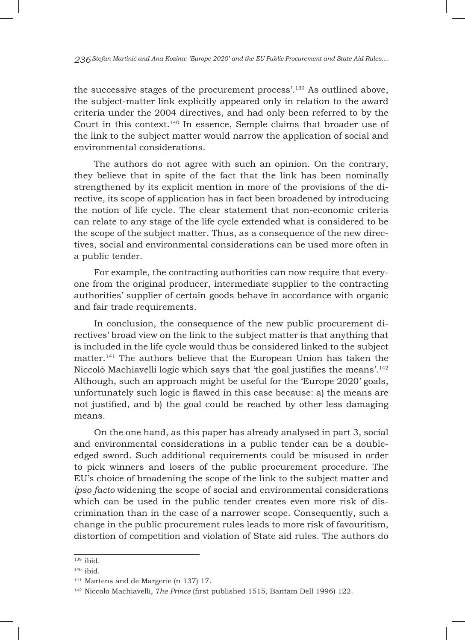the successive stages of the procurement process'.139 As outlined above, the subject-matter link explicitly appeared only in relation to the award criteria under the 2004 directives, and had only been referred to by the Court in this context.140 In essence, Semple claims that broader use of the link to the subject matter would narrow the application of social and environmental considerations.

The authors do not agree with such an opinion. On the contrary, they believe that in spite of the fact that the link has been nominally strengthened by its explicit mention in more of the provisions of the directive, its scope of application has in fact been broadened by introducing the notion of life cycle. The clear statement that non-economic criteria can relate to any stage of the life cycle extended what is considered to be the scope of the subject matter. Thus, as a consequence of the new directives, social and environmental considerations can be used more often in a public tender.

For example, the contracting authorities can now require that everyone from the original producer, intermediate supplier to the contracting authorities' supplier of certain goods behave in accordance with organic and fair trade requirements.

In conclusion, the consequence of the new public procurement directives' broad view on the link to the subject matter is that anything that is included in the life cycle would thus be considered linked to the subject matter.141 The authors believe that the European Union has taken the Niccolò Machiavelli logic which says that 'the goal justifies the means'.142 Although, such an approach might be useful for the 'Europe 2020' goals, unfortunately such logic is flawed in this case because: a) the means are not justified, and b) the goal could be reached by other less damaging means.

On the one hand, as this paper has already analysed in part 3, social and environmental considerations in a public tender can be a doubleedged sword. Such additional requirements could be misused in order to pick winners and losers of the public procurement procedure. The EU's choice of broadening the scope of the link to the subject matter and *ipso facto* widening the scope of social and environmental considerations which can be used in the public tender creates even more risk of discrimination than in the case of a narrower scope. Consequently, such a change in the public procurement rules leads to more risk of favouritism, distortion of competition and violation of State aid rules. The authors do

<sup>139</sup> ibid.

<sup>&</sup>lt;sup>140</sup> ibid.

<sup>141</sup> Martens and de Margerie (n 137) 17.

<sup>142</sup> Niccolò Machiavelli, *The Prince* (first published 1515, Bantam Dell 1996) 122.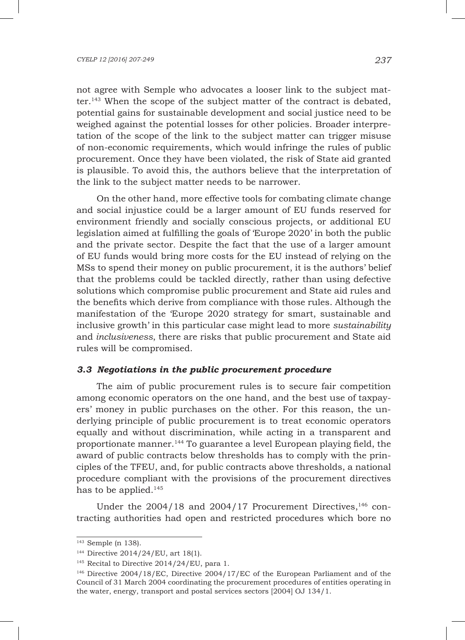not agree with Semple who advocates a looser link to the subject matter.143 When the scope of the subject matter of the contract is debated, potential gains for sustainable development and social justice need to be weighed against the potential losses for other policies. Broader interpretation of the scope of the link to the subject matter can trigger misuse of non-economic requirements, which would infringe the rules of public procurement. Once they have been violated, the risk of State aid granted is plausible. To avoid this, the authors believe that the interpretation of the link to the subject matter needs to be narrower.

On the other hand, more effective tools for combating climate change and social injustice could be a larger amount of EU funds reserved for environment friendly and socially conscious projects, or additional EU legislation aimed at fulfilling the goals of 'Europe 2020' in both the public and the private sector. Despite the fact that the use of a larger amount of EU funds would bring more costs for the EU instead of relying on the MSs to spend their money on public procurement, it is the authors' belief that the problems could be tackled directly, rather than using defective solutions which compromise public procurement and State aid rules and the benefits which derive from compliance with those rules. Although the manifestation of the 'Europe 2020 strategy for smart, sustainable and inclusive growth' in this particular case might lead to more *sustainability* and *inclusiveness*, there are risks that public procurement and State aid rules will be compromised.

## *3.3 Negotiations in the public procurement procedure*

The aim of public procurement rules is to secure fair competition among economic operators on the one hand, and the best use of taxpayers' money in public purchases on the other. For this reason, the underlying principle of public procurement is to treat economic operators equally and without discrimination, while acting in a transparent and proportionate manner.144 To guarantee a level European playing field, the award of public contracts below thresholds has to comply with the principles of the TFEU, and, for public contracts above thresholds, a national procedure compliant with the provisions of the procurement directives has to be applied.<sup>145</sup>

Under the  $2004/18$  and  $2004/17$  Procurement Directives,<sup>146</sup> contracting authorities had open and restricted procedures which bore no

<sup>143</sup> Semple (n 138).

<sup>144</sup> Directive 2014/24/EU, art 18(1).

<sup>&</sup>lt;sup>145</sup> Recital to Directive 2014/24/EU, para 1.

<sup>146</sup> Directive 2004/18/EC, Directive 2004/17/EC of the European Parliament and of the Council of 31 March 2004 coordinating the procurement procedures of entities operating in the water, energy, transport and postal services sectors [2004] OJ 134/1.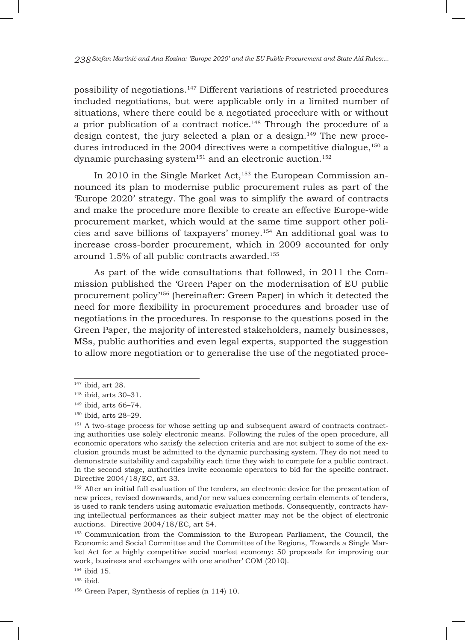possibility of negotiations.147 Different variations of restricted procedures included negotiations, but were applicable only in a limited number of situations, where there could be a negotiated procedure with or without a prior publication of a contract notice.<sup>148</sup> Through the procedure of a design contest, the jury selected a plan or a design.<sup>149</sup> The new procedures introduced in the 2004 directives were a competitive dialogue,  $150$  a dynamic purchasing system<sup>151</sup> and an electronic auction.<sup>152</sup>

In 2010 in the Single Market Act,<sup>153</sup> the European Commission announced its plan to modernise public procurement rules as part of the 'Europe 2020' strategy. The goal was to simplify the award of contracts and make the procedure more flexible to create an effective Europe-wide procurement market, which would at the same time support other policies and save billions of taxpayers' money.154 An additional goal was to increase cross-border procurement, which in 2009 accounted for only around 1.5% of all public contracts awarded.155

As part of the wide consultations that followed, in 2011 the Commission published the 'Green Paper on the modernisation of EU public procurement policy'156 (hereinafter: Green Paper) in which it detected the need for more flexibility in procurement procedures and broader use of negotiations in the procedures. In response to the questions posed in the Green Paper, the majority of interested stakeholders, namely businesses, MSs, public authorities and even legal experts, supported the suggestion to allow more negotiation or to generalise the use of the negotiated proce-

<sup>147</sup> ibid, art 28.

<sup>148</sup> ibid, arts 30–31.

<sup>149</sup> ibid, arts 66–74.

<sup>150</sup> ibid, arts 28–29.

<sup>&</sup>lt;sup>151</sup> A two-stage process for whose setting up and subsequent award of contracts contracting authorities use solely electronic means. Following the rules of the open procedure, all economic operators who satisfy the selection criteria and are not subject to some of the exclusion grounds must be admitted to the dynamic purchasing system. They do not need to demonstrate suitability and capability each time they wish to compete for a public contract. In the second stage, authorities invite economic operators to bid for the specific contract. Directive 2004/18/EC, art 33.

<sup>&</sup>lt;sup>152</sup> After an initial full evaluation of the tenders, an electronic device for the presentation of new prices, revised downwards, and/or new values concerning certain elements of tenders, is used to rank tenders using automatic evaluation methods. Consequently, contracts having intellectual performances as their subject matter may not be the object of electronic auctions. Directive 2004/18/EC, art 54.

<sup>153</sup> Communication from the Commission to the European Parliament, the Council, the Economic and Social Committee and the Committee of the Regions, 'Towards a Single Market Act for a highly competitive social market economy: 50 proposals for improving our work, business and exchanges with one another' COM (2010).

<sup>154</sup> ibid 15.

 $155$  ibid.

<sup>156</sup> Green Paper, Synthesis of replies (n 114) 10.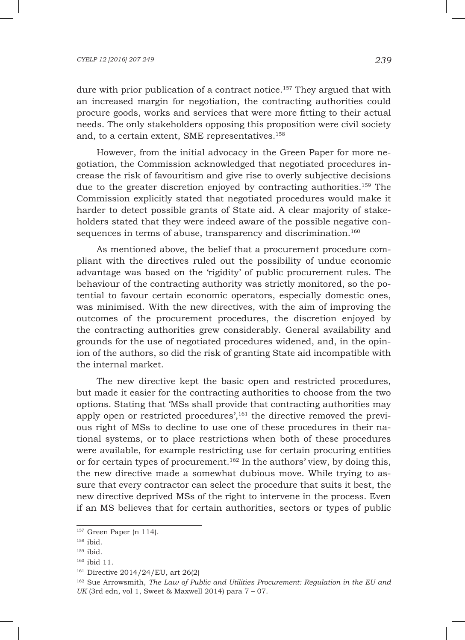dure with prior publication of a contract notice.<sup>157</sup> They argued that with an increased margin for negotiation, the contracting authorities could procure goods, works and services that were more fitting to their actual needs. The only stakeholders opposing this proposition were civil society and, to a certain extent, SME representatives.<sup>158</sup>

However, from the initial advocacy in the Green Paper for more negotiation, the Commission acknowledged that negotiated procedures increase the risk of favouritism and give rise to overly subjective decisions due to the greater discretion enjoyed by contracting authorities.159 The Commission explicitly stated that negotiated procedures would make it harder to detect possible grants of State aid. A clear majority of stakeholders stated that they were indeed aware of the possible negative consequences in terms of abuse, transparency and discrimination.<sup>160</sup>

As mentioned above, the belief that a procurement procedure compliant with the directives ruled out the possibility of undue economic advantage was based on the 'rigidity' of public procurement rules. The behaviour of the contracting authority was strictly monitored, so the potential to favour certain economic operators, especially domestic ones, was minimised. With the new directives, with the aim of improving the outcomes of the procurement procedures, the discretion enjoyed by the contracting authorities grew considerably. General availability and grounds for the use of negotiated procedures widened, and, in the opinion of the authors, so did the risk of granting State aid incompatible with the internal market.

The new directive kept the basic open and restricted procedures, but made it easier for the contracting authorities to choose from the two options. Stating that 'MSs shall provide that contracting authorities may apply open or restricted procedures',<sup>161</sup> the directive removed the previous right of MSs to decline to use one of these procedures in their national systems, or to place restrictions when both of these procedures were available, for example restricting use for certain procuring entities or for certain types of procurement.<sup>162</sup> In the authors' view, by doing this, the new directive made a somewhat dubious move. While trying to assure that every contractor can select the procedure that suits it best, the new directive deprived MSs of the right to intervene in the process. Even if an MS believes that for certain authorities, sectors or types of public

 $157$  Green Paper (n 114).

<sup>158</sup> ibid.

 $159$  ibid.

<sup>160</sup> ibid 11.

<sup>161</sup> Directive 2014/24/EU, art 26(2)

<sup>162</sup> Sue Arrowsmith, *The Law of Public and Utilities Procurement: Regulation in the EU and UK* (3rd edn, vol 1, Sweet & Maxwell 2014) para 7 – 07.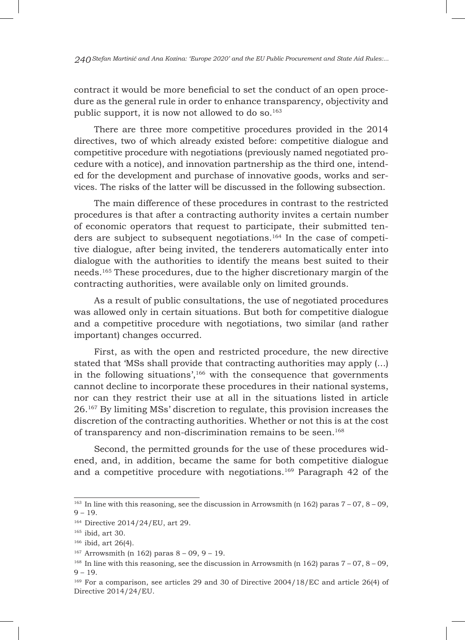contract it would be more beneficial to set the conduct of an open procedure as the general rule in order to enhance transparency, objectivity and public support, it is now not allowed to do so.163

There are three more competitive procedures provided in the 2014 directives, two of which already existed before: competitive dialogue and competitive procedure with negotiations (previously named negotiated procedure with a notice), and innovation partnership as the third one, intended for the development and purchase of innovative goods, works and services. The risks of the latter will be discussed in the following subsection.

The main difference of these procedures in contrast to the restricted procedures is that after a contracting authority invites a certain number of economic operators that request to participate, their submitted tenders are subject to subsequent negotiations.<sup>164</sup> In the case of competitive dialogue, after being invited, the tenderers automatically enter into dialogue with the authorities to identify the means best suited to their needs.165 These procedures, due to the higher discretionary margin of the contracting authorities, were available only on limited grounds.

As a result of public consultations, the use of negotiated procedures was allowed only in certain situations. But both for competitive dialogue and a competitive procedure with negotiations, two similar (and rather important) changes occurred.

First, as with the open and restricted procedure, the new directive stated that 'MSs shall provide that contracting authorities may apply (...) in the following situations',166 with the consequence that governments cannot decline to incorporate these procedures in their national systems, nor can they restrict their use at all in the situations listed in article 26.167 By limiting MSs' discretion to regulate, this provision increases the discretion of the contracting authorities. Whether or not this is at the cost of transparency and non-discrimination remains to be seen.<sup>168</sup>

Second, the permitted grounds for the use of these procedures widened, and, in addition, became the same for both competitive dialogue and a competitive procedure with negotiations.169 Paragraph 42 of the

 $163$  In line with this reasoning, see the discussion in Arrowsmith (n 162) paras  $7 - 07$ ,  $8 - 09$ ,  $9 - 19$ .

<sup>164</sup> Directive 2014/24/EU, art 29.

<sup>165</sup> ibid, art 30.

<sup>166</sup> ibid, art 26(4).

 $167$  Arrowsmith (n 162) paras  $8 - 09$ ,  $9 - 19$ .

<sup>&</sup>lt;sup>168</sup> In line with this reasoning, see the discussion in Arrowsmith (n 162) paras  $7 - 07$ ,  $8 - 09$ ,  $9 - 19$ .

<sup>169</sup> For a comparison, see articles 29 and 30 of Directive 2004/18/EC and article 26(4) of Directive 2014/24/EU.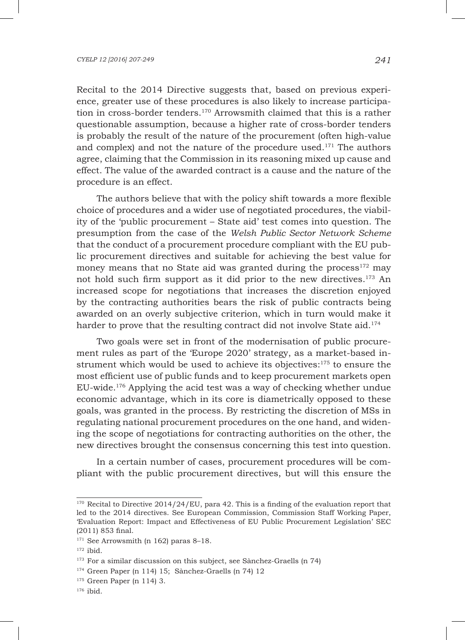Recital to the 2014 Directive suggests that, based on previous experience, greater use of these procedures is also likely to increase participation in cross-border tenders.170 Arrowsmith claimed that this is a rather questionable assumption, because a higher rate of cross-border tenders is probably the result of the nature of the procurement (often high-value and complex) and not the nature of the procedure used. $171$  The authors agree, claiming that the Commission in its reasoning mixed up cause and effect. The value of the awarded contract is a cause and the nature of the procedure is an effect.

The authors believe that with the policy shift towards a more flexible choice of procedures and a wider use of negotiated procedures, the viability of the 'public procurement – State aid' test comes into question. The presumption from the case of the *Welsh Public Sector Network Scheme*  that the conduct of a procurement procedure compliant with the EU public procurement directives and suitable for achieving the best value for money means that no State aid was granted during the process $172$  may not hold such firm support as it did prior to the new directives.173 An increased scope for negotiations that increases the discretion enjoyed by the contracting authorities bears the risk of public contracts being awarded on an overly subjective criterion, which in turn would make it harder to prove that the resulting contract did not involve State aid.<sup>174</sup>

Two goals were set in front of the modernisation of public procurement rules as part of the 'Europe 2020' strategy, as a market-based instrument which would be used to achieve its objectives: $175$  to ensure the most efficient use of public funds and to keep procurement markets open EU-wide.176 Applying the acid test was a way of checking whether undue economic advantage, which in its core is diametrically opposed to these goals, was granted in the process. By restricting the discretion of MSs in regulating national procurement procedures on the one hand, and widening the scope of negotiations for contracting authorities on the other, the new directives brought the consensus concerning this test into question.

In a certain number of cases, procurement procedures will be compliant with the public procurement directives, but will this ensure the

 $170$  Recital to Directive 2014/24/EU, para 42. This is a finding of the evaluation report that led to the 2014 directives. See European Commission, Commission Staff Working Paper, 'Evaluation Report: Impact and Effectiveness of EU Public Procurement Legislation' SEC (2011) 853 final.

<sup>&</sup>lt;sup>171</sup> See Arrowsmith (n 162) paras 8-18.

 $172$  ibid.

<sup>&</sup>lt;sup>173</sup> For a similar discussion on this subject, see Sànchez-Graells (n 74)

<sup>174</sup> Green Paper (n 114) 15; Sànchez-Graells (n 74) 12

<sup>175</sup> Green Paper (n 114) 3.

<sup>176</sup> ibid.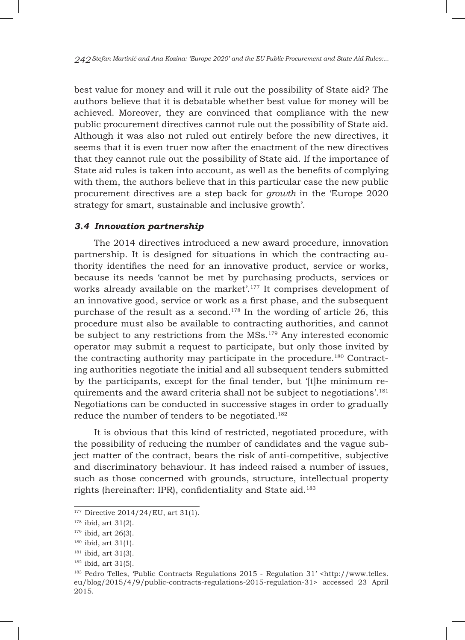best value for money and will it rule out the possibility of State aid? The authors believe that it is debatable whether best value for money will be achieved. Moreover, they are convinced that compliance with the new public procurement directives cannot rule out the possibility of State aid. Although it was also not ruled out entirely before the new directives, it seems that it is even truer now after the enactment of the new directives that they cannot rule out the possibility of State aid. If the importance of State aid rules is taken into account, as well as the benefits of complying with them, the authors believe that in this particular case the new public procurement directives are a step back for *growth* in the 'Europe 2020 strategy for smart, sustainable and inclusive growth'.

# *3.4 Innovation partnership*

The 2014 directives introduced a new award procedure, innovation partnership. It is designed for situations in which the contracting authority identifies the need for an innovative product, service or works, because its needs 'cannot be met by purchasing products, services or works already available on the market'.<sup>177</sup> It comprises development of an innovative good, service or work as a first phase, and the subsequent purchase of the result as a second.178 In the wording of article 26, this procedure must also be available to contracting authorities, and cannot be subject to any restrictions from the MSs.<sup>179</sup> Any interested economic operator may submit a request to participate, but only those invited by the contracting authority may participate in the procedure.<sup>180</sup> Contracting authorities negotiate the initial and all subsequent tenders submitted by the participants, except for the final tender, but '[t]he minimum requirements and the award criteria shall not be subject to negotiations'.<sup>181</sup> Negotiations can be conducted in successive stages in order to gradually reduce the number of tenders to be negotiated.182

It is obvious that this kind of restricted, negotiated procedure, with the possibility of reducing the number of candidates and the vague subject matter of the contract, bears the risk of anti-competitive, subjective and discriminatory behaviour. It has indeed raised a number of issues, such as those concerned with grounds, structure, intellectual property rights (hereinafter: IPR), confidentiality and State aid.<sup>183</sup>

 $177$  Directive 2014/24/EU, art 31(1).

<sup>178</sup> ibid, art 31(2).

 $179$  ibid, art 26(3).

<sup>180</sup> ibid, art 31(1).

 $181$  ibid, art 31(3).

<sup>182</sup> ibid, art 31(5).

<sup>&</sup>lt;sup>183</sup> Pedro Telles, 'Public Contracts Regulations 2015 - Regulation 31' <http://www.telles. eu/blog/2015/4/9/public-contracts-regulations-2015-regulation-31> accessed 23 April 2015.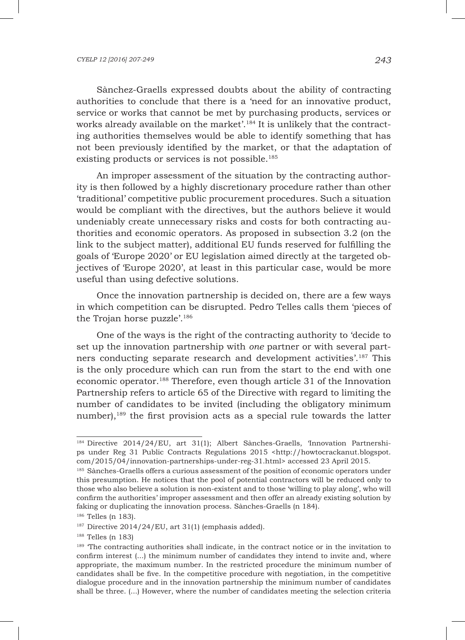Sànchez-Graells expressed doubts about the ability of contracting authorities to conclude that there is a 'need for an innovative product, service or works that cannot be met by purchasing products, services or works already available on the market'.<sup>184</sup> It is unlikely that the contracting authorities themselves would be able to identify something that has not been previously identified by the market, or that the adaptation of existing products or services is not possible.<sup>185</sup>

An improper assessment of the situation by the contracting authority is then followed by a highly discretionary procedure rather than other 'traditional' competitive public procurement procedures. Such a situation would be compliant with the directives, but the authors believe it would undeniably create unnecessary risks and costs for both contracting authorities and economic operators. As proposed in subsection 3.2 (on the link to the subject matter), additional EU funds reserved for fulfilling the goals of 'Europe 2020' or EU legislation aimed directly at the targeted objectives of 'Europe 2020', at least in this particular case, would be more useful than using defective solutions.

Once the innovation partnership is decided on, there are a few ways in which competition can be disrupted. Pedro Telles calls them 'pieces of the Trojan horse puzzle'.186

One of the ways is the right of the contracting authority to 'decide to set up the innovation partnership with *one* partner or with several partners conducting separate research and development activities'.<sup>187</sup> This is the only procedure which can run from the start to the end with one economic operator.188 Therefore, even though article 31 of the Innovation Partnership refers to article 65 of the Directive with regard to limiting the number of candidates to be invited (including the obligatory minimum number), $189$  the first provision acts as a special rule towards the latter

<sup>184</sup> Directive 2014/24/EU, art 31(1); Albert Sànches-Graells, 'Innovation Partnerships under Reg 31 Public Contracts Regulations 2015 <http://howtocrackanut.blogspot. com/2015/04/innovation-partnerships-under-reg-31.html> accessed 23 April 2015.

<sup>&</sup>lt;sup>185</sup> Sànches-Graells offers a curious assessment of the position of economic operators under this presumption. He notices that the pool of potential contractors will be reduced only to those who also believe a solution is non-existent and to those 'willing to play along', who will confirm the authorities' improper assessment and then offer an already existing solution by faking or duplicating the innovation process. Sànches-Graells (n 184).

<sup>186</sup> Telles (n 183).

<sup>&</sup>lt;sup>187</sup> Directive 2014/24/EU, art 31(1) (emphasis added).

<sup>188</sup> Telles (n 183)

<sup>&</sup>lt;sup>189</sup> The contracting authorities shall indicate, in the contract notice or in the invitation to confirm interest (...) the minimum number of candidates they intend to invite and, where appropriate, the maximum number. In the restricted procedure the minimum number of candidates shall be five. In the competitive procedure with negotiation, in the competitive dialogue procedure and in the innovation partnership the minimum number of candidates shall be three. (...) However, where the number of candidates meeting the selection criteria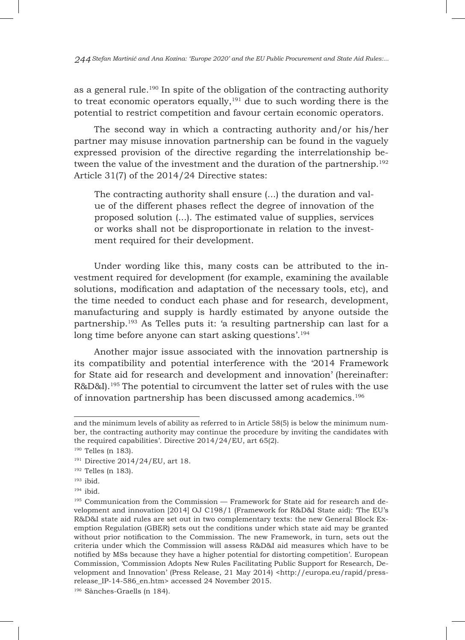as a general rule.<sup>190</sup> In spite of the obligation of the contracting authority to treat economic operators equally, $191$  due to such wording there is the potential to restrict competition and favour certain economic operators.

The second way in which a contracting authority and/or his/her partner may misuse innovation partnership can be found in the vaguely expressed provision of the directive regarding the interrelationship between the value of the investment and the duration of the partnership.<sup>192</sup> Article 31(7) of the 2014/24 Directive states:

The contracting authority shall ensure (...) the duration and value of the different phases reflect the degree of innovation of the proposed solution (...). The estimated value of supplies, services or works shall not be disproportionate in relation to the investment required for their development.

Under wording like this, many costs can be attributed to the investment required for development (for example, examining the available solutions, modification and adaptation of the necessary tools, etc), and the time needed to conduct each phase and for research, development, manufacturing and supply is hardly estimated by anyone outside the partnership.193 As Telles puts it: 'a resulting partnership can last for a long time before anyone can start asking questions'.<sup>194</sup>

Another major issue associated with the innovation partnership is its compatibility and potential interference with the '2014 Framework for State aid for research and development and innovation' (hereinafter: R&D&I).195 The potential to circumvent the latter set of rules with the use of innovation partnership has been discussed among academics.196

and the minimum levels of ability as referred to in Article 58(5) is below the minimum number, the contracting authority may continue the procedure by inviting the candidates with the required capabilities'. Directive 2014/24/EU, art 65(2).

<sup>190</sup> Telles (n 183).

<sup>191</sup> Directive 2014/24/EU, art 18.

<sup>192</sup> Telles (n 183).

<sup>193</sup> ibid.

 $194$  ibid.

 $195$  Communication from the Commission — Framework for State aid for research and development and innovation [2014] OJ C198/1 (Framework for R&D&I State aid): 'The EU's R&D&I state aid rules are set out in two complementary texts: the new General Block Exemption Regulation (GBER) sets out the conditions under which state aid may be granted without prior notification to the Commission. The new Framework, in turn, sets out the criteria under which the Commission will assess R&D&I aid measures which have to be notified by MSs because they have a higher potential for distorting competition'. European Commission, 'Commission Adopts New Rules Facilitating Public Support for Research, Development and Innovation' (Press Release, 21 May 2014) <http://europa.eu/rapid/pressrelease\_IP-14-586\_en.htm> accessed 24 November 2015.

<sup>196</sup> Sànches-Graells (n 184).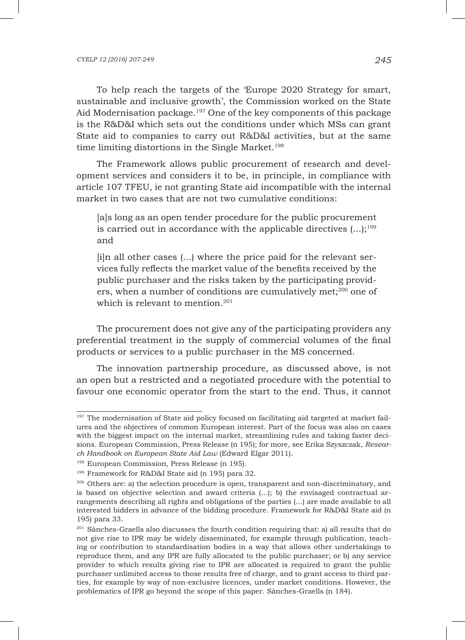To help reach the targets of the 'Europe 2020 Strategy for smart, sustainable and inclusive growth', the Commission worked on the State Aid Modernisation package.<sup>197</sup> One of the key components of this package is the R&D&I which sets out the conditions under which MSs can grant State aid to companies to carry out R&D&I activities, but at the same time limiting distortions in the Single Market.<sup>198</sup>

The Framework allows public procurement of research and development services and considers it to be, in principle, in compliance with article 107 TFEU, ie not granting State aid incompatible with the internal market in two cases that are not two cumulative conditions:

[a]s long as an open tender procedure for the public procurement is carried out in accordance with the applicable directives  $(...);^{199}$ and

[i]n all other cases (...) where the price paid for the relevant services fully reflects the market value of the benefits received by the public purchaser and the risks taken by the participating providers, when a number of conditions are cumulatively met;<sup>200</sup> one of which is relevant to mention.<sup>201</sup>

The procurement does not give any of the participating providers any preferential treatment in the supply of commercial volumes of the final products or services to a public purchaser in the MS concerned.

The innovation partnership procedure, as discussed above, is not an open but a restricted and a negotiated procedure with the potential to favour one economic operator from the start to the end. Thus, it cannot

<sup>&</sup>lt;sup>197</sup> The modernisation of State aid policy focused on facilitating aid targeted at market failures and the objectives of common European interest. Part of the focus was also on cases with the biggest impact on the internal market, streamlining rules and taking faster decisions. European Commission, Press Release (n 195); for more, see Erika Szyszczak, *Research Handbook on European State Aid Law* (Edward Elgar 2011).

<sup>198</sup> European Commission, Press Release (n 195).

<sup>199</sup> Framework for R&D&I State aid (n 195) para 32.

<sup>200</sup> Others are: a) the selection procedure is open, transparent and non-discriminatory, and is based on objective selection and award criteria (...); b) the envisaged contractual arrangements describing all rights and obligations of the parties (...) are made available to all interested bidders in advance of the bidding procedure. Framework for R&D&I State aid (n 195) para 33.

<sup>&</sup>lt;sup>201</sup> Sànches-Graells also discusses the fourth condition requiring that: a) all results that do not give rise to IPR may be widely disseminated, for example through publication, teaching or contribution to standardisation bodies in a way that allows other undertakings to reproduce them, and any IPR are fully allocated to the public purchaser; or b) any service provider to which results giving rise to IPR are allocated is required to grant the public purchaser unlimited access to those results free of charge, and to grant access to third parties, for example by way of non-exclusive licences, under market conditions. However, the problematics of IPR go beyond the scope of this paper. Sànches-Graells (n 184).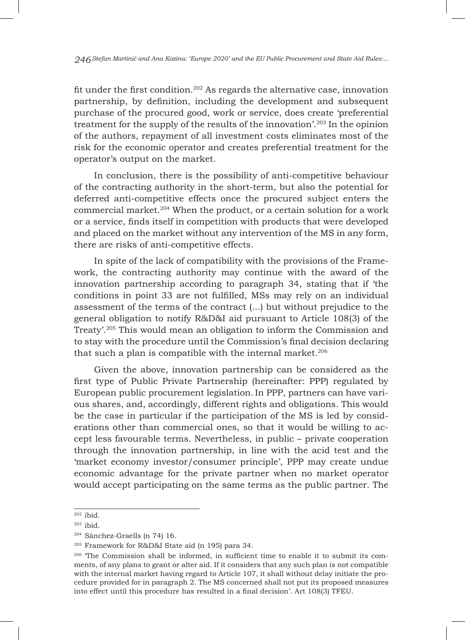fit under the first condition.<sup>202</sup> As regards the alternative case, innovation partnership, by definition, including the development and subsequent purchase of the procured good, work or service, does create 'preferential treatment for the supply of the results of the innovation'.203 In the opinion of the authors, repayment of all investment costs eliminates most of the risk for the economic operator and creates preferential treatment for the operator's output on the market.

In conclusion, there is the possibility of anti-competitive behaviour of the contracting authority in the short-term, but also the potential for deferred anti-competitive effects once the procured subject enters the commercial market.204 When the product, or a certain solution for a work or a service, finds itself in competition with products that were developed and placed on the market without any intervention of the MS in any form, there are risks of anti-competitive effects.

In spite of the lack of compatibility with the provisions of the Framework, the contracting authority may continue with the award of the innovation partnership according to paragraph 34, stating that if 'the conditions in point 33 are not fulfilled, MSs may rely on an individual assessment of the terms of the contract (...) but without prejudice to the general obligation to notify R&D&I aid pursuant to Article 108(3) of the Treaty'.205 This would mean an obligation to inform the Commission and to stay with the procedure until the Commission's final decision declaring that such a plan is compatible with the internal market. $206$ 

Given the above, innovation partnership can be considered as the first type of Public Private Partnership (hereinafter: PPP) regulated by European public procurement legislation.In PPP, partners can have various shares, and, accordingly, different rights and obligations. This would be the case in particular if the participation of the MS is led by considerations other than commercial ones, so that it would be willing to accept less favourable terms. Nevertheless, in public – private cooperation through the innovation partnership, in line with the acid test and the 'market economy investor/consumer principle', PPP may create undue economic advantage for the private partner when no market operator would accept participating on the same terms as the public partner. The

<sup>202</sup> ibid.

 $203$  ibid.

<sup>204</sup> Sànchez-Graells (n 74) 16.

<sup>205</sup> Framework for R&D&I State aid (n 195) para 34.

<sup>206</sup> 'The Commission shall be informed, in sufficient time to enable it to submit its comments, of any plans to grant or alter aid. If it considers that any such plan is not compatible with the internal market having regard to Article 107, it shall without delay initiate the procedure provided for in paragraph 2. The MS concerned shall not put its proposed measures into effect until this procedure has resulted in a final decision'. Art 108(3) TFEU.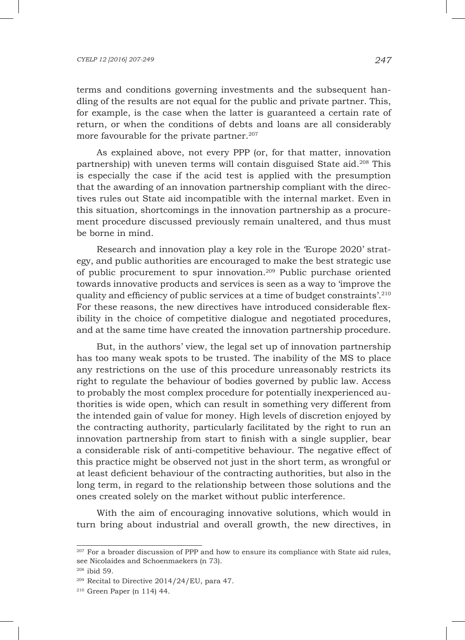#### *CYELP 12 [2016] 207-249 247*

terms and conditions governing investments and the subsequent handling of the results are not equal for the public and private partner. This, for example, is the case when the latter is guaranteed a certain rate of return, or when the conditions of debts and loans are all considerably more favourable for the private partner.<sup>207</sup>

As explained above, not every PPP (or, for that matter, innovation partnership) with uneven terms will contain disguised State aid.208 This is especially the case if the acid test is applied with the presumption that the awarding of an innovation partnership compliant with the directives rules out State aid incompatible with the internal market. Even in this situation, shortcomings in the innovation partnership as a procurement procedure discussed previously remain unaltered, and thus must be borne in mind.

Research and innovation play a key role in the 'Europe 2020' strategy, and public authorities are encouraged to make the best strategic use of public procurement to spur innovation.209 Public purchase oriented towards innovative products and services is seen as a way to 'improve the quality and efficiency of public services at a time of budget constraints'.210 For these reasons, the new directives have introduced considerable flexibility in the choice of competitive dialogue and negotiated procedures, and at the same time have created the innovation partnership procedure.

But, in the authors' view, the legal set up of innovation partnership has too many weak spots to be trusted. The inability of the MS to place any restrictions on the use of this procedure unreasonably restricts its right to regulate the behaviour of bodies governed by public law. Access to probably the most complex procedure for potentially inexperienced authorities is wide open, which can result in something very different from the intended gain of value for money. High levels of discretion enjoyed by the contracting authority, particularly facilitated by the right to run an innovation partnership from start to finish with a single supplier, bear a considerable risk of anti-competitive behaviour. The negative effect of this practice might be observed not just in the short term, as wrongful or at least deficient behaviour of the contracting authorities, but also in the long term, in regard to the relationship between those solutions and the ones created solely on the market without public interference.

With the aim of encouraging innovative solutions, which would in turn bring about industrial and overall growth, the new directives, in

<sup>&</sup>lt;sup>207</sup> For a broader discussion of PPP and how to ensure its compliance with State aid rules, see Nicolaides and Schoenmaekers (n 73).

<sup>208</sup> ibid 59.

<sup>209</sup> Recital to Directive 2014/24/EU, para 47.

<sup>210</sup> Green Paper (n 114) 44.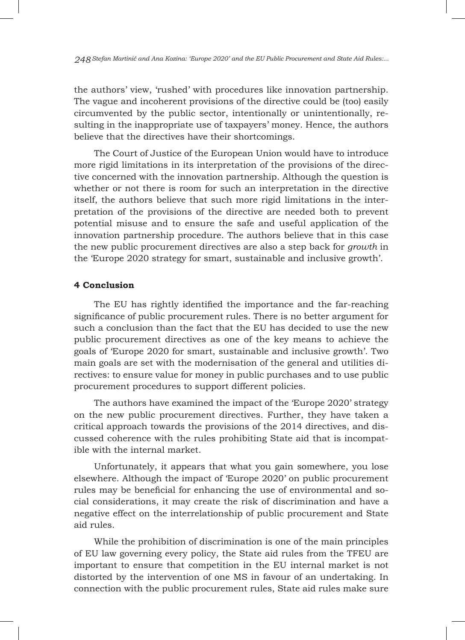the authors' view, 'rushed' with procedures like innovation partnership. The vague and incoherent provisions of the directive could be (too) easily circumvented by the public sector, intentionally or unintentionally, resulting in the inappropriate use of taxpayers' money. Hence, the authors believe that the directives have their shortcomings.

The Court of Justice of the European Union would have to introduce more rigid limitations in its interpretation of the provisions of the directive concerned with the innovation partnership. Although the question is whether or not there is room for such an interpretation in the directive itself, the authors believe that such more rigid limitations in the interpretation of the provisions of the directive are needed both to prevent potential misuse and to ensure the safe and useful application of the innovation partnership procedure. The authors believe that in this case the new public procurement directives are also a step back for *growth* in the 'Europe 2020 strategy for smart, sustainable and inclusive growth'.

# **4 Conclusion**

The EU has rightly identified the importance and the far-reaching significance of public procurement rules. There is no better argument for such a conclusion than the fact that the EU has decided to use the new public procurement directives as one of the key means to achieve the goals of 'Europe 2020 for smart, sustainable and inclusive growth'. Two main goals are set with the modernisation of the general and utilities directives: to ensure value for money in public purchases and to use public procurement procedures to support different policies.

The authors have examined the impact of the 'Europe 2020' strategy on the new public procurement directives. Further, they have taken a critical approach towards the provisions of the 2014 directives, and discussed coherence with the rules prohibiting State aid that is incompatible with the internal market.

Unfortunately, it appears that what you gain somewhere, you lose elsewhere. Although the impact of 'Europe 2020' on public procurement rules may be beneficial for enhancing the use of environmental and social considerations, it may create the risk of discrimination and have a negative effect on the interrelationship of public procurement and State aid rules.

While the prohibition of discrimination is one of the main principles of EU law governing every policy, the State aid rules from the TFEU are important to ensure that competition in the EU internal market is not distorted by the intervention of one MS in favour of an undertaking. In connection with the public procurement rules, State aid rules make sure